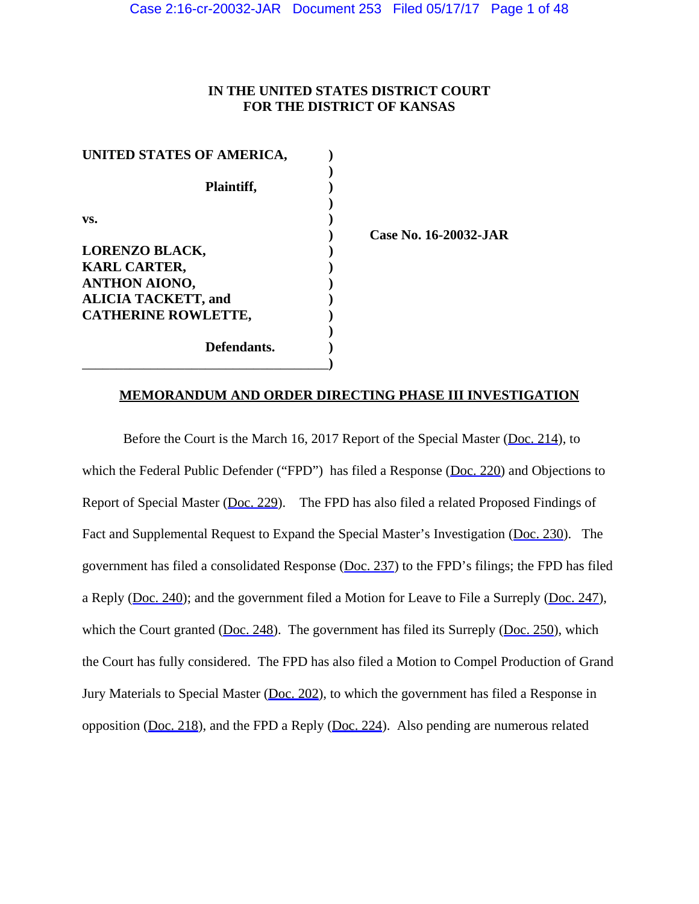# **IN THE UNITED STATES DISTRICT COURT FOR THE DISTRICT OF KANSAS**

| UNITED STATES OF AMERICA,  |               |
|----------------------------|---------------|
|                            |               |
| Plaintiff,                 |               |
|                            |               |
| VS.                        |               |
|                            | <b>Case N</b> |
| <b>LORENZO BLACK,</b>      |               |
| <b>KARL CARTER,</b>        |               |
| <b>ANTHON AIONO,</b>       |               |
| <b>ALICIA TACKETT, and</b> |               |
| <b>CATHERINE ROWLETTE,</b> |               |
|                            |               |
| Defendants.                |               |
|                            |               |

**) Case No. 16-20032-JAR**

# **MEMORANDUM AND ORDER DIRECTING PHASE III INVESTIGATION**

Before the Court is the March 16, 2017 Report of the Special Master [\(Doc. 214](https://jenie.ao.dcn/ksd-ecf/d/cmecfservices/rest/file/finddoc?caseYear=2016&caseNum=20032&caseType=cr&caseOffice=2&docNum=214)), to which the Federal Public Defender ("FPD") has filed a Response ([Doc. 220\)](https://jenie.ao.dcn/ksd-ecf/d/cmecfservices/rest/file/finddoc?caseYear=2016&caseNum=20032&caseType=cr&caseOffice=2&docNum=220) and Objections to Report of Special Master [\(Doc. 229](https://jenie.ao.dcn/ksd-ecf/d/cmecfservices/rest/file/finddoc?caseYear=2016&caseNum=20032&caseType=cr&caseOffice=2&docNum=229)). The FPD has also filed a related Proposed Findings of Fact and Supplemental Request to Expand the Special Master's Investigation ([Doc. 230\)](https://jenie.ao.dcn/ksd-ecf/d/cmecfservices/rest/file/finddoc?caseYear=2016&caseNum=20032&caseType=cr&caseOffice=2&docNum=230). The government has filed a consolidated Response [\(Doc. 237\)](https://jenie.ao.dcn/ksd-ecf/d/cmecfservices/rest/file/finddoc?caseYear=2016&caseNum=20032&caseType=cr&caseOffice=2&docNum=237) to the FPD's filings; the FPD has filed a Reply [\(Doc. 240](https://jenie.ao.dcn/ksd-ecf/d/cmecfservices/rest/file/finddoc?caseYear=2016&caseNum=20032&caseType=cr&caseOffice=2&docNum=240)); and the government filed a Motion for Leave to File a Surreply ([Doc. 247\)](https://jenie.ao.dcn/ksd-ecf/d/cmecfservices/rest/file/finddoc?caseYear=2016&caseNum=20032&caseType=cr&caseOffice=2&docNum=247), which the Court granted ( $\underline{Doc}. 248$ ). The government has filed its Surreply ( $\underline{Doc}. 250$ ), which the Court has fully considered. The FPD has also filed a Motion to Compel Production of Grand Jury Materials to Special Master [\(Doc. 202](https://jenie.ao.dcn/ksd-ecf/d/cmecfservices/rest/file/finddoc?caseYear=2016&caseNum=20032&caseType=cr&caseOffice=2&docNum=202)), to which the government has filed a Response in opposition ([Doc. 218\)](https://jenie.ao.dcn/ksd-ecf/d/cmecfservices/rest/file/finddoc?caseYear=2016&caseNum=20032&caseType=cr&caseOffice=2&docNum=218), and the FPD a Reply ([Doc. 224\)](https://jenie.ao.dcn/ksd-ecf/d/cmecfservices/rest/file/finddoc?caseYear=2016&caseNum=20032&caseType=cr&caseOffice=2&docNum=224). Also pending are numerous related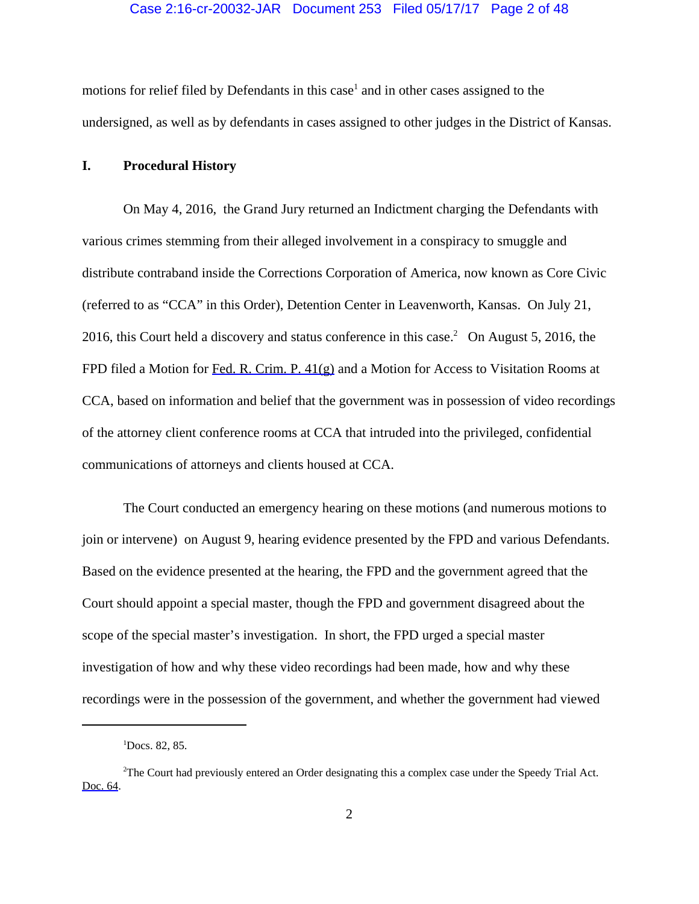## Case 2:16-cr-20032-JAR Document 253 Filed 05/17/17 Page 2 of 48

motions for relief filed by Defendants in this case<sup>1</sup> and in other cases assigned to the undersigned, as well as by defendants in cases assigned to other judges in the District of Kansas.

# **I. Procedural History**

On May 4, 2016, the Grand Jury returned an Indictment charging the Defendants with various crimes stemming from their alleged involvement in a conspiracy to smuggle and distribute contraband inside the Corrections Corporation of America, now known as Core Civic (referred to as "CCA" in this Order), Detention Center in Leavenworth, Kansas. On July 21, 2016, this Court held a discovery and status conference in this case.<sup>2</sup> On August 5, 2016, the FPD filed a Motion for [Fed. R. Crim. P. 41\(g\)](https://www.westlaw.com/Link/Document/FullText?rs=USCLink&vr=3.0&findType=Y&cite=FRCRP+41(g)&clientid=USCourts) and a Motion for Access to Visitation Rooms at CCA, based on information and belief that the government was in possession of video recordings of the attorney client conference rooms at CCA that intruded into the privileged, confidential communications of attorneys and clients housed at CCA.

The Court conducted an emergency hearing on these motions (and numerous motions to join or intervene) on August 9, hearing evidence presented by the FPD and various Defendants. Based on the evidence presented at the hearing, the FPD and the government agreed that the Court should appoint a special master, though the FPD and government disagreed about the scope of the special master's investigation. In short, the FPD urged a special master investigation of how and why these video recordings had been made, how and why these recordings were in the possession of the government, and whether the government had viewed

<sup>1</sup> Docs. 82, 85.

<sup>&</sup>lt;sup>2</sup>The Court had previously entered an Order designating this a complex case under the Speedy Trial Act. [Doc. 64.](https://jenie.ao.dcn/ksd-ecf/d/cmecfservices/rest/file/finddoc?caseYear=2016&caseNum=20032&caseType=cr&caseOffice=2&docNum=64)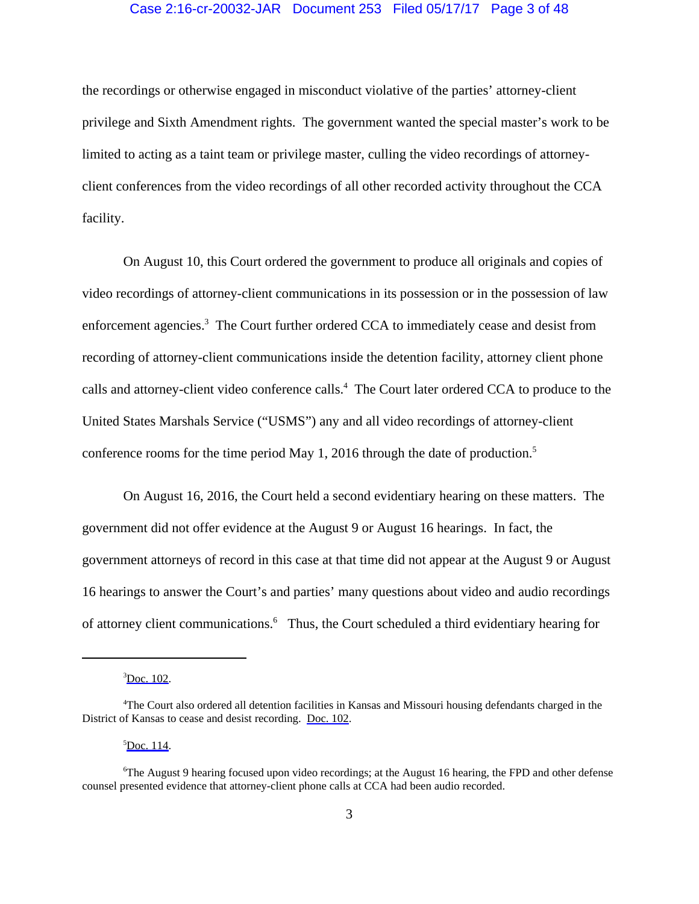# Case 2:16-cr-20032-JAR Document 253 Filed 05/17/17 Page 3 of 48

the recordings or otherwise engaged in misconduct violative of the parties' attorney-client privilege and Sixth Amendment rights. The government wanted the special master's work to be limited to acting as a taint team or privilege master, culling the video recordings of attorneyclient conferences from the video recordings of all other recorded activity throughout the CCA facility.

On August 10, this Court ordered the government to produce all originals and copies of video recordings of attorney-client communications in its possession or in the possession of law enforcement agencies.<sup>3</sup> The Court further ordered CCA to immediately cease and desist from recording of attorney-client communications inside the detention facility, attorney client phone calls and attorney-client video conference calls.<sup>4</sup> The Court later ordered CCA to produce to the United States Marshals Service ("USMS") any and all video recordings of attorney-client conference rooms for the time period May 1, 2016 through the date of production.<sup>5</sup>

On August 16, 2016, the Court held a second evidentiary hearing on these matters. The government did not offer evidence at the August 9 or August 16 hearings. In fact, the government attorneys of record in this case at that time did not appear at the August 9 or August 16 hearings to answer the Court's and parties' many questions about video and audio recordings of attorney client communications.<sup>6</sup> Thus, the Court scheduled a third evidentiary hearing for

 ${}^5$ [Doc. 114.](https://jenie.ao.dcn/ksd-ecf/d/cmecfservices/rest/file/finddoc?caseYear=2016&caseNum=20032&caseType=cr&caseOffice=2&docNum=114)

 ${}^{3}$ [Doc. 102.](https://jenie.ao.dcn/ksd-ecf/d/cmecfservices/rest/file/finddoc?caseYear=2016&caseNum=20032&caseType=cr&caseOffice=2&docNum=102)

<sup>4</sup> The Court also ordered all detention facilities in Kansas and Missouri housing defendants charged in the District of Kansas to cease and desist recording. [Doc. 102.](https://jenie.ao.dcn/ksd-ecf/d/cmecfservices/rest/file/finddoc?caseYear=2016&caseNum=20032&caseType=cr&caseOffice=2&docNum=102)

<sup>6</sup> The August 9 hearing focused upon video recordings; at the August 16 hearing, the FPD and other defense counsel presented evidence that attorney-client phone calls at CCA had been audio recorded.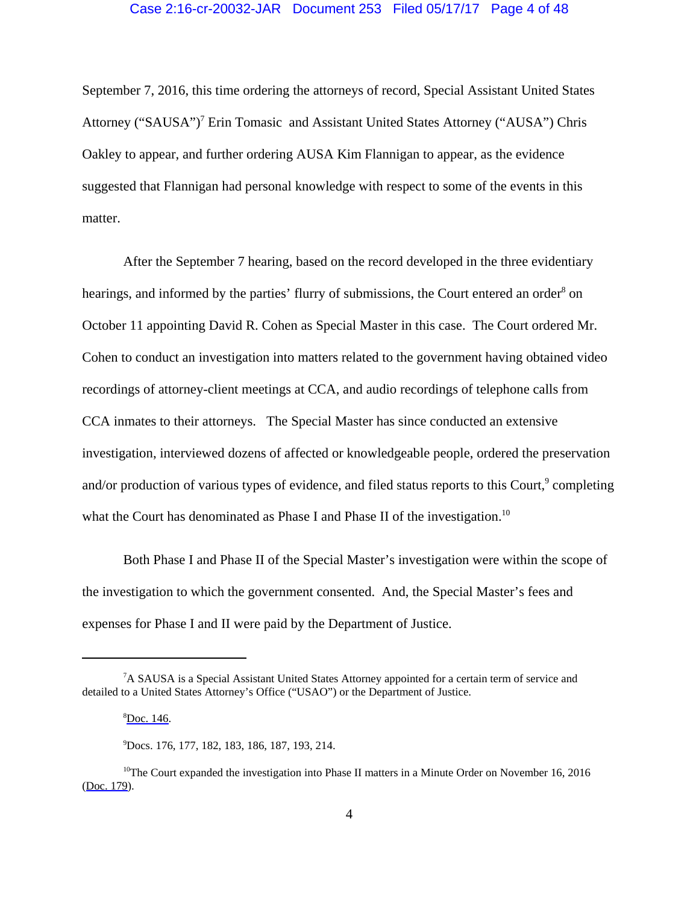September 7, 2016, this time ordering the attorneys of record, Special Assistant United States Attorney ("SAUSA")<sup>7</sup> Erin Tomasic and Assistant United States Attorney ("AUSA") Chris Oakley to appear, and further ordering AUSA Kim Flannigan to appear, as the evidence suggested that Flannigan had personal knowledge with respect to some of the events in this matter.

After the September 7 hearing, based on the record developed in the three evidentiary hearings, and informed by the parties' flurry of submissions, the Court entered an order<sup>8</sup> on October 11 appointing David R. Cohen as Special Master in this case. The Court ordered Mr. Cohen to conduct an investigation into matters related to the government having obtained video recordings of attorney-client meetings at CCA, and audio recordings of telephone calls from CCA inmates to their attorneys. The Special Master has since conducted an extensive investigation, interviewed dozens of affected or knowledgeable people, ordered the preservation and/or production of various types of evidence, and filed status reports to this Court,<sup>9</sup> completing what the Court has denominated as Phase I and Phase II of the investigation.<sup>10</sup>

Both Phase I and Phase II of the Special Master's investigation were within the scope of the investigation to which the government consented. And, the Special Master's fees and expenses for Phase I and II were paid by the Department of Justice.

<sup>&</sup>lt;sup>7</sup>A SAUSA is a Special Assistant United States Attorney appointed for a certain term of service and detailed to a United States Attorney's Office ("USAO") or the Department of Justice.

<sup>&</sup>lt;sup>8</sup>[Doc. 146.](https://jenie.ao.dcn/ksd-ecf/d/cmecfservices/rest/file/finddoc?caseYear=2016&caseNum=20032&caseType=cr&caseOffice=2&docNum=146)

<sup>9</sup> Docs. 176, 177, 182, 183, 186, 187, 193, 214.

 $10$ <sup>10</sup>The Court expanded the investigation into Phase II matters in a Minute Order on November 16, 2016 [\(Doc. 179\)](https://jenie.ao.dcn/ksd-ecf/d/cmecfservices/rest/file/finddoc?caseYear=2016&caseNum=20032&caseType=cr&caseOffice=2&docNum=179).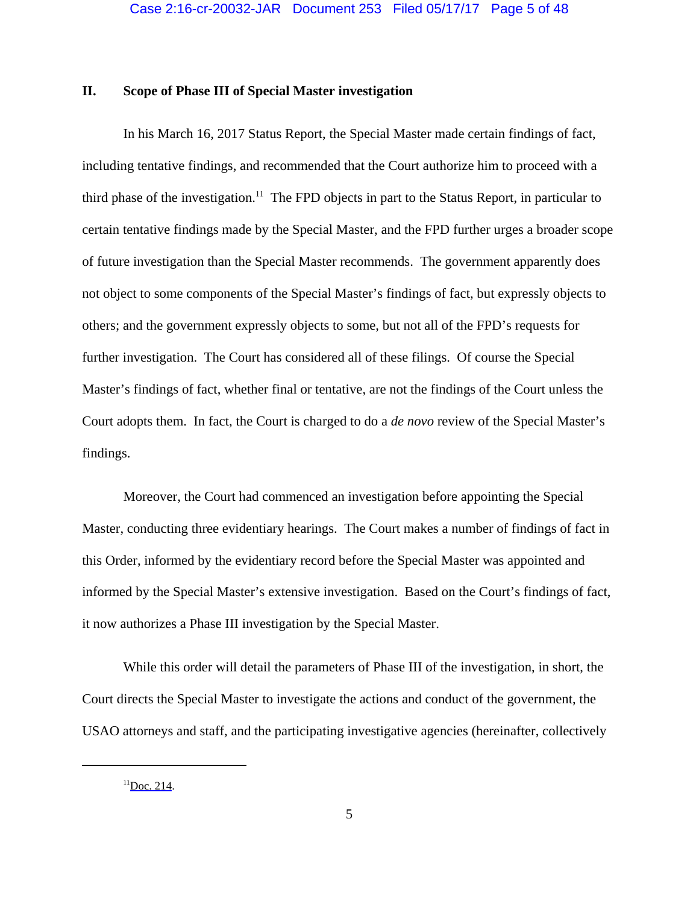# **II. Scope of Phase III of Special Master investigation**

In his March 16, 2017 Status Report, the Special Master made certain findings of fact, including tentative findings, and recommended that the Court authorize him to proceed with a third phase of the investigation.<sup>11</sup> The FPD objects in part to the Status Report, in particular to certain tentative findings made by the Special Master, and the FPD further urges a broader scope of future investigation than the Special Master recommends. The government apparently does not object to some components of the Special Master's findings of fact, but expressly objects to others; and the government expressly objects to some, but not all of the FPD's requests for further investigation. The Court has considered all of these filings. Of course the Special Master's findings of fact, whether final or tentative, are not the findings of the Court unless the Court adopts them. In fact, the Court is charged to do a *de novo* review of the Special Master's findings.

Moreover, the Court had commenced an investigation before appointing the Special Master, conducting three evidentiary hearings. The Court makes a number of findings of fact in this Order, informed by the evidentiary record before the Special Master was appointed and informed by the Special Master's extensive investigation. Based on the Court's findings of fact, it now authorizes a Phase III investigation by the Special Master.

While this order will detail the parameters of Phase III of the investigation, in short, the Court directs the Special Master to investigate the actions and conduct of the government, the USAO attorneys and staff, and the participating investigative agencies (hereinafter, collectively

 $11$ [Doc. 214.](https://jenie.ao.dcn/ksd-ecf/d/cmecfservices/rest/file/finddoc?caseYear=2016&caseNum=20032&caseType=cr&caseOffice=2&docNum=214)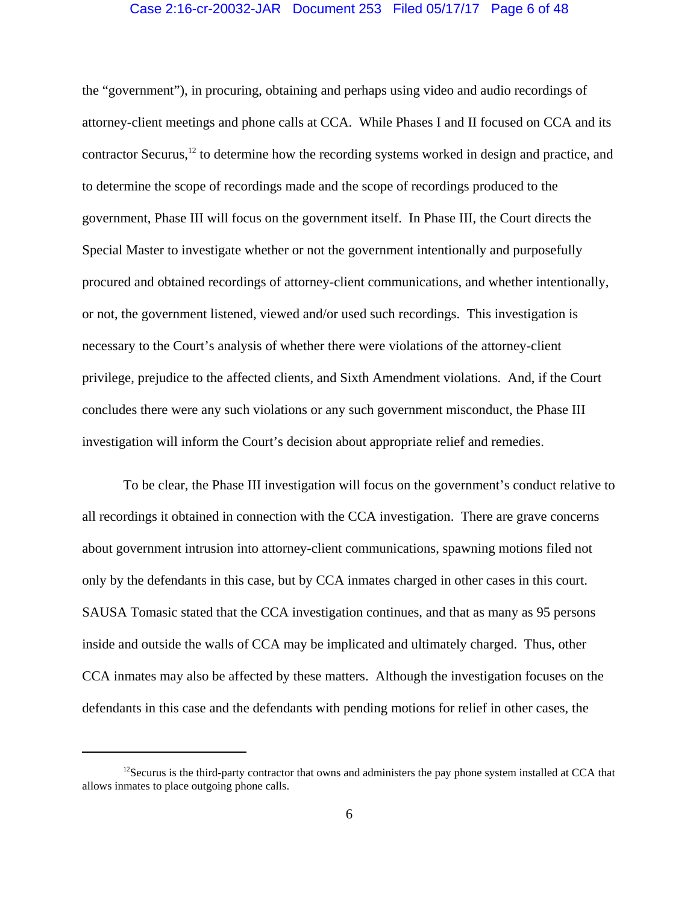# Case 2:16-cr-20032-JAR Document 253 Filed 05/17/17 Page 6 of 48

the "government"), in procuring, obtaining and perhaps using video and audio recordings of attorney-client meetings and phone calls at CCA. While Phases I and II focused on CCA and its contractor Securus,12 to determine how the recording systems worked in design and practice, and to determine the scope of recordings made and the scope of recordings produced to the government, Phase III will focus on the government itself. In Phase III, the Court directs the Special Master to investigate whether or not the government intentionally and purposefully procured and obtained recordings of attorney-client communications, and whether intentionally, or not, the government listened, viewed and/or used such recordings. This investigation is necessary to the Court's analysis of whether there were violations of the attorney-client privilege, prejudice to the affected clients, and Sixth Amendment violations. And, if the Court concludes there were any such violations or any such government misconduct, the Phase III investigation will inform the Court's decision about appropriate relief and remedies.

To be clear, the Phase III investigation will focus on the government's conduct relative to all recordings it obtained in connection with the CCA investigation. There are grave concerns about government intrusion into attorney-client communications, spawning motions filed not only by the defendants in this case, but by CCA inmates charged in other cases in this court. SAUSA Tomasic stated that the CCA investigation continues, and that as many as 95 persons inside and outside the walls of CCA may be implicated and ultimately charged. Thus, other CCA inmates may also be affected by these matters. Although the investigation focuses on the defendants in this case and the defendants with pending motions for relief in other cases, the

<sup>&</sup>lt;sup>12</sup>Securus is the third-party contractor that owns and administers the pay phone system installed at CCA that allows inmates to place outgoing phone calls.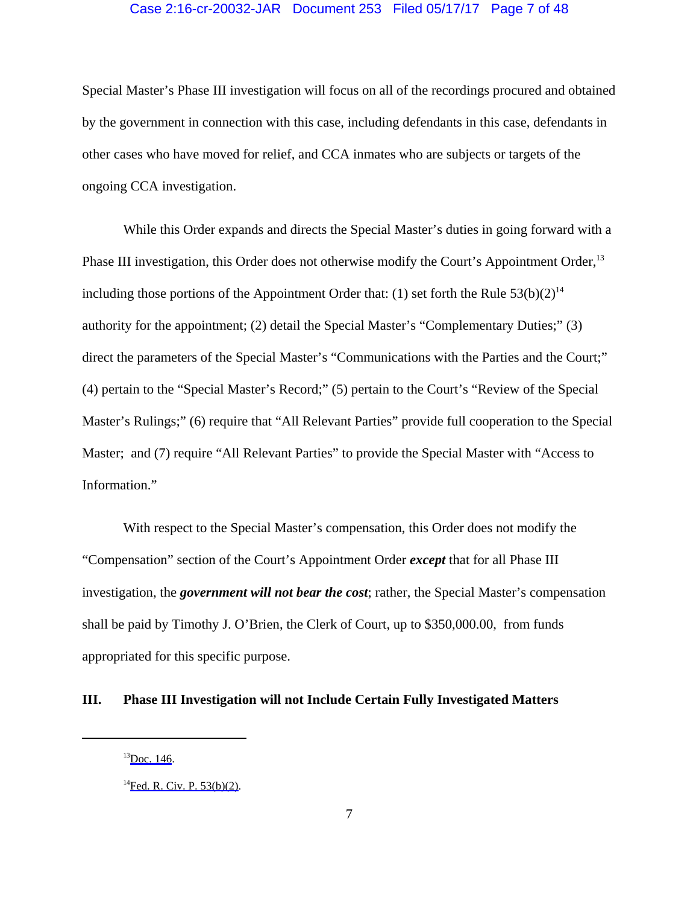# Case 2:16-cr-20032-JAR Document 253 Filed 05/17/17 Page 7 of 48

Special Master's Phase III investigation will focus on all of the recordings procured and obtained by the government in connection with this case, including defendants in this case, defendants in other cases who have moved for relief, and CCA inmates who are subjects or targets of the ongoing CCA investigation.

While this Order expands and directs the Special Master's duties in going forward with a Phase III investigation, this Order does not otherwise modify the Court's Appointment Order,<sup>13</sup> including those portions of the Appointment Order that: (1) set forth the Rule  $53(b)(2)^{14}$ authority for the appointment; (2) detail the Special Master's "Complementary Duties;" (3) direct the parameters of the Special Master's "Communications with the Parties and the Court;" (4) pertain to the "Special Master's Record;" (5) pertain to the Court's "Review of the Special Master's Rulings;" (6) require that "All Relevant Parties" provide full cooperation to the Special Master; and (7) require "All Relevant Parties" to provide the Special Master with "Access to Information."

With respect to the Special Master's compensation, this Order does not modify the "Compensation" section of the Court's Appointment Order *except* that for all Phase III investigation, the *government will not bear the cost*; rather, the Special Master's compensation shall be paid by Timothy J. O'Brien, the Clerk of Court, up to \$350,000.00, from funds appropriated for this specific purpose.

# **III. Phase III Investigation will not Include Certain Fully Investigated Matters**

 $^{13}$ [Doc. 146.](https://jenie.ao.dcn/ksd-ecf/d/cmecfservices/rest/file/finddoc?caseYear=2016&caseNum=20032&caseType=cr&caseOffice=2&docNum=146)

 ${}^{14}$ [Fed. R. Civ. P. 53\(b\)\(2\).](https://www.westlaw.com/Link/Document/FullText?rs=USCLink&vr=3.0&findType=Y&cite=FRCP+53(b)(2)&clientid=USCourts)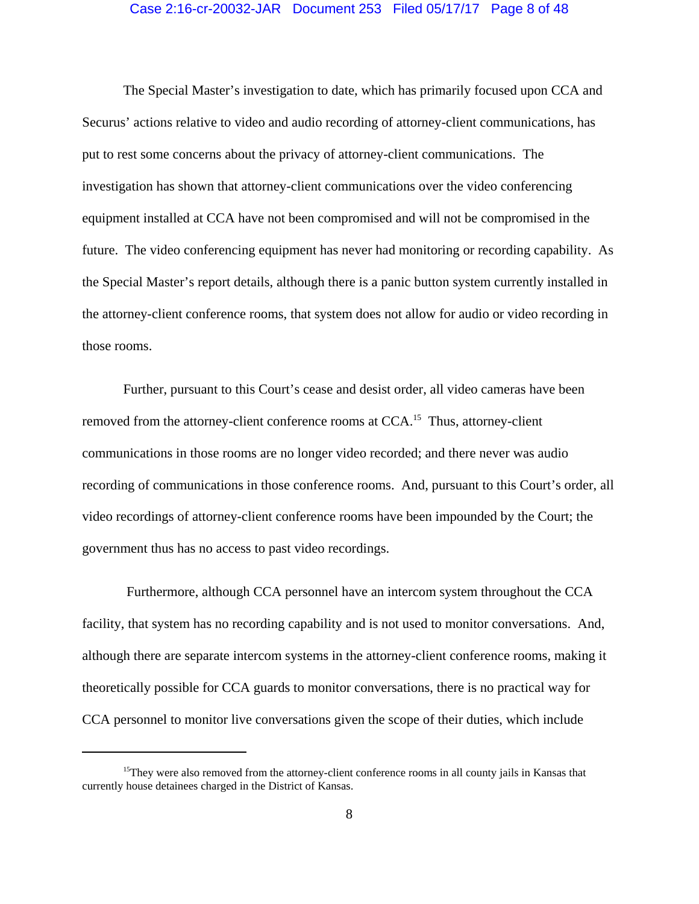#### Case 2:16-cr-20032-JAR Document 253 Filed 05/17/17 Page 8 of 48

The Special Master's investigation to date, which has primarily focused upon CCA and Securus' actions relative to video and audio recording of attorney-client communications, has put to rest some concerns about the privacy of attorney-client communications. The investigation has shown that attorney-client communications over the video conferencing equipment installed at CCA have not been compromised and will not be compromised in the future. The video conferencing equipment has never had monitoring or recording capability. As the Special Master's report details, although there is a panic button system currently installed in the attorney-client conference rooms, that system does not allow for audio or video recording in those rooms.

Further, pursuant to this Court's cease and desist order, all video cameras have been removed from the attorney-client conference rooms at CCA.<sup>15</sup> Thus, attorney-client communications in those rooms are no longer video recorded; and there never was audio recording of communications in those conference rooms. And, pursuant to this Court's order, all video recordings of attorney-client conference rooms have been impounded by the Court; the government thus has no access to past video recordings.

 Furthermore, although CCA personnel have an intercom system throughout the CCA facility, that system has no recording capability and is not used to monitor conversations. And, although there are separate intercom systems in the attorney-client conference rooms, making it theoretically possible for CCA guards to monitor conversations, there is no practical way for CCA personnel to monitor live conversations given the scope of their duties, which include

<sup>&</sup>lt;sup>15</sup>They were also removed from the attorney-client conference rooms in all county jails in Kansas that currently house detainees charged in the District of Kansas.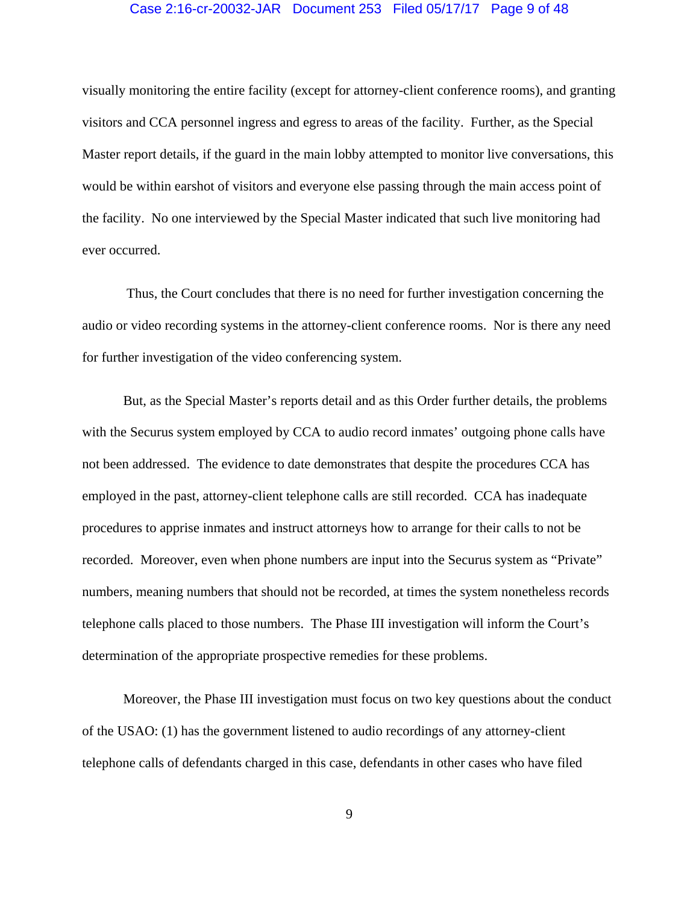## Case 2:16-cr-20032-JAR Document 253 Filed 05/17/17 Page 9 of 48

visually monitoring the entire facility (except for attorney-client conference rooms), and granting visitors and CCA personnel ingress and egress to areas of the facility. Further, as the Special Master report details, if the guard in the main lobby attempted to monitor live conversations, this would be within earshot of visitors and everyone else passing through the main access point of the facility. No one interviewed by the Special Master indicated that such live monitoring had ever occurred.

 Thus, the Court concludes that there is no need for further investigation concerning the audio or video recording systems in the attorney-client conference rooms. Nor is there any need for further investigation of the video conferencing system.

But, as the Special Master's reports detail and as this Order further details, the problems with the Securus system employed by CCA to audio record inmates' outgoing phone calls have not been addressed. The evidence to date demonstrates that despite the procedures CCA has employed in the past, attorney-client telephone calls are still recorded. CCA has inadequate procedures to apprise inmates and instruct attorneys how to arrange for their calls to not be recorded. Moreover, even when phone numbers are input into the Securus system as "Private" numbers, meaning numbers that should not be recorded, at times the system nonetheless records telephone calls placed to those numbers. The Phase III investigation will inform the Court's determination of the appropriate prospective remedies for these problems.

Moreover, the Phase III investigation must focus on two key questions about the conduct of the USAO: (1) has the government listened to audio recordings of any attorney-client telephone calls of defendants charged in this case, defendants in other cases who have filed

9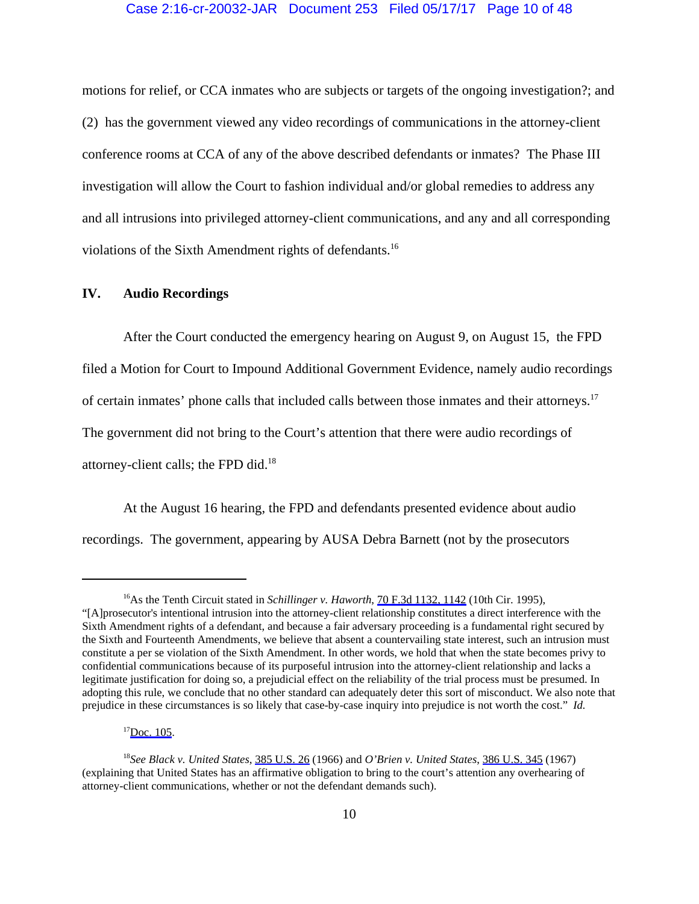## Case 2:16-cr-20032-JAR Document 253 Filed 05/17/17 Page 10 of 48

motions for relief, or CCA inmates who are subjects or targets of the ongoing investigation?; and (2) has the government viewed any video recordings of communications in the attorney-client conference rooms at CCA of any of the above described defendants or inmates? The Phase III investigation will allow the Court to fashion individual and/or global remedies to address any and all intrusions into privileged attorney-client communications, and any and all corresponding violations of the Sixth Amendment rights of defendants.16

# **IV. Audio Recordings**

After the Court conducted the emergency hearing on August 9, on August 15, the FPD filed a Motion for Court to Impound Additional Government Evidence, namely audio recordings of certain inmates' phone calls that included calls between those inmates and their attorneys.17 The government did not bring to the Court's attention that there were audio recordings of attorney-client calls; the FPD did.18

At the August 16 hearing, the FPD and defendants presented evidence about audio recordings. The government, appearing by AUSA Debra Barnett (not by the prosecutors

<sup>&</sup>lt;sup>16</sup>As the Tenth Circuit stated in *Schillinger v. Haworth*, [70 F.3d 1132, 1142](https://www.westlaw.com/Link/Document/FullText?rs=USCLink&vr=3.0&findType=Y&cite=70+f.3d+1132&refPos=1142&refPosType=s&clientid=USCourts) (10th Cir. 1995), "[A]prosecutor's intentional intrusion into the attorney-client relationship constitutes a direct interference with the Sixth Amendment rights of a defendant, and because a fair adversary proceeding is a fundamental right secured by the Sixth and Fourteenth Amendments, we believe that absent a countervailing state interest, such an intrusion must constitute a per se violation of the Sixth Amendment. In other words, we hold that when the state becomes privy to confidential communications because of its purposeful intrusion into the attorney-client relationship and lacks a legitimate justification for doing so, a prejudicial effect on the reliability of the trial process must be presumed. In adopting this rule, we conclude that no other standard can adequately deter this sort of misconduct. We also note that prejudice in these circumstances is so likely that case-by-case inquiry into prejudice is not worth the cost." *Id.*

 $17$ [Doc. 105.](https://jenie.ao.dcn/ksd-ecf/d/cmecfservices/rest/file/finddoc?caseYear=2016&caseNum=20032&caseType=cr&caseOffice=2&docNum=105)

<sup>18</sup>*See Black v. United States*, [385 U.S. 26](https://www.westlaw.com/Link/Document/FullText?rs=USCLink&vr=3.0&findType=Y&cite=385+u.s.+26&refPos=26&refPosType=s&clientid=USCourts) (1966) and *O'Brien v. United States*, [386 U.S. 345](https://www.westlaw.com/Link/Document/FullText?rs=USCLink&vr=3.0&findType=Y&cite=386+u.s.+345&refPos=345&refPosType=s&clientid=USCourts) (1967) (explaining that United States has an affirmative obligation to bring to the court's attention any overhearing of attorney-client communications, whether or not the defendant demands such).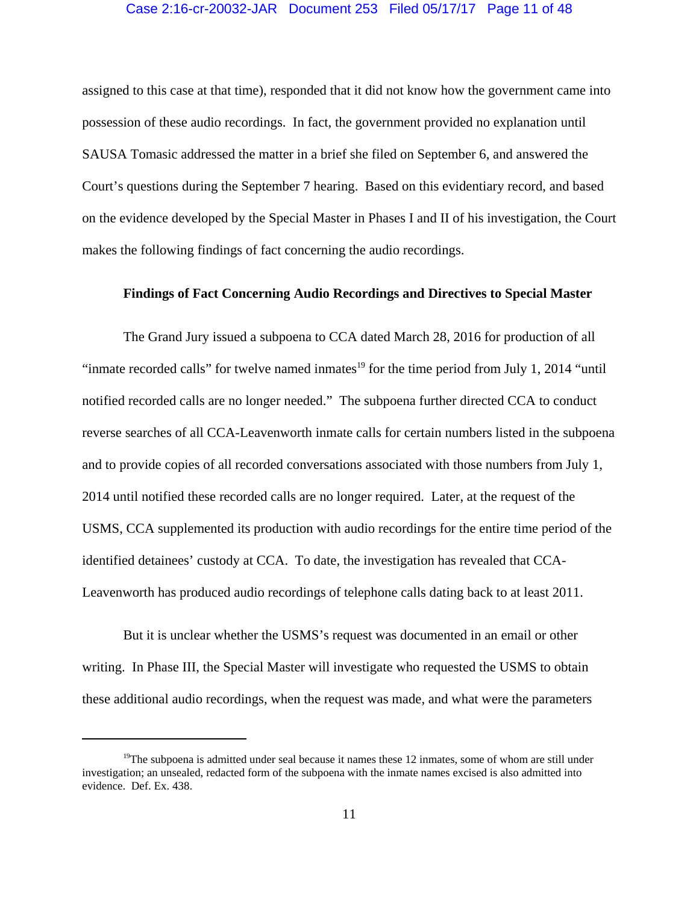#### Case 2:16-cr-20032-JAR Document 253 Filed 05/17/17 Page 11 of 48

assigned to this case at that time), responded that it did not know how the government came into possession of these audio recordings. In fact, the government provided no explanation until SAUSA Tomasic addressed the matter in a brief she filed on September 6, and answered the Court's questions during the September 7 hearing. Based on this evidentiary record, and based on the evidence developed by the Special Master in Phases I and II of his investigation, the Court makes the following findings of fact concerning the audio recordings.

# **Findings of Fact Concerning Audio Recordings and Directives to Special Master**

The Grand Jury issued a subpoena to CCA dated March 28, 2016 for production of all "inmate recorded calls" for twelve named inmates $^{19}$  for the time period from July 1, 2014 "until" notified recorded calls are no longer needed." The subpoena further directed CCA to conduct reverse searches of all CCA-Leavenworth inmate calls for certain numbers listed in the subpoena and to provide copies of all recorded conversations associated with those numbers from July 1, 2014 until notified these recorded calls are no longer required. Later, at the request of the USMS, CCA supplemented its production with audio recordings for the entire time period of the identified detainees' custody at CCA. To date, the investigation has revealed that CCA-Leavenworth has produced audio recordings of telephone calls dating back to at least 2011.

But it is unclear whether the USMS's request was documented in an email or other writing. In Phase III, the Special Master will investigate who requested the USMS to obtain these additional audio recordings, when the request was made, and what were the parameters

<sup>&</sup>lt;sup>19</sup>The subpoena is admitted under seal because it names these 12 inmates, some of whom are still under investigation; an unsealed, redacted form of the subpoena with the inmate names excised is also admitted into evidence. Def. Ex. 438.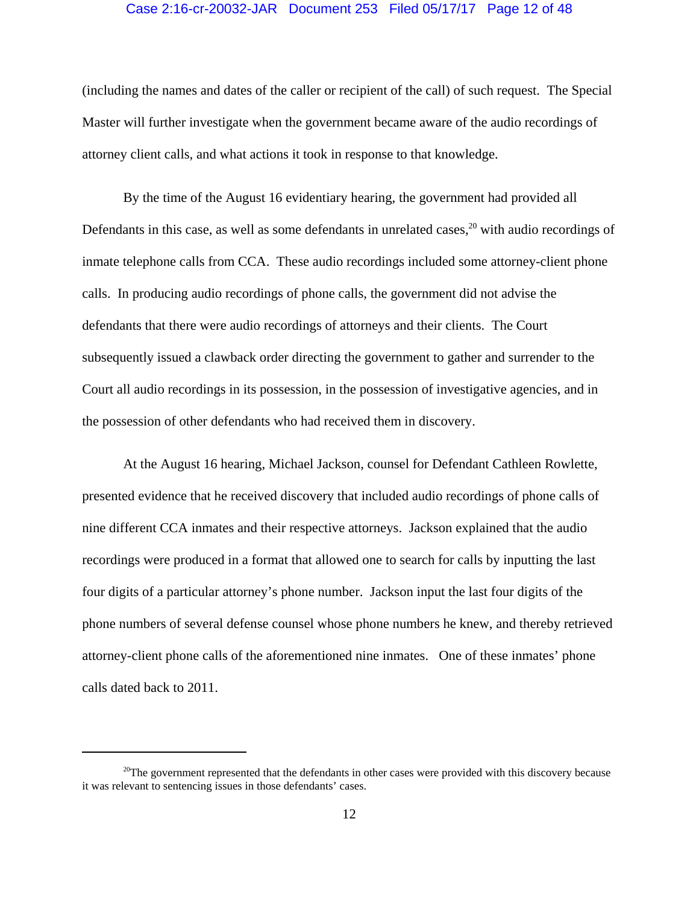## Case 2:16-cr-20032-JAR Document 253 Filed 05/17/17 Page 12 of 48

(including the names and dates of the caller or recipient of the call) of such request. The Special Master will further investigate when the government became aware of the audio recordings of attorney client calls, and what actions it took in response to that knowledge.

By the time of the August 16 evidentiary hearing, the government had provided all Defendants in this case, as well as some defendants in unrelated cases, $^{20}$  with audio recordings of inmate telephone calls from CCA. These audio recordings included some attorney-client phone calls. In producing audio recordings of phone calls, the government did not advise the defendants that there were audio recordings of attorneys and their clients. The Court subsequently issued a clawback order directing the government to gather and surrender to the Court all audio recordings in its possession, in the possession of investigative agencies, and in the possession of other defendants who had received them in discovery.

At the August 16 hearing, Michael Jackson, counsel for Defendant Cathleen Rowlette, presented evidence that he received discovery that included audio recordings of phone calls of nine different CCA inmates and their respective attorneys. Jackson explained that the audio recordings were produced in a format that allowed one to search for calls by inputting the last four digits of a particular attorney's phone number. Jackson input the last four digits of the phone numbers of several defense counsel whose phone numbers he knew, and thereby retrieved attorney-client phone calls of the aforementioned nine inmates. One of these inmates' phone calls dated back to 2011.

 $20$ The government represented that the defendants in other cases were provided with this discovery because it was relevant to sentencing issues in those defendants' cases.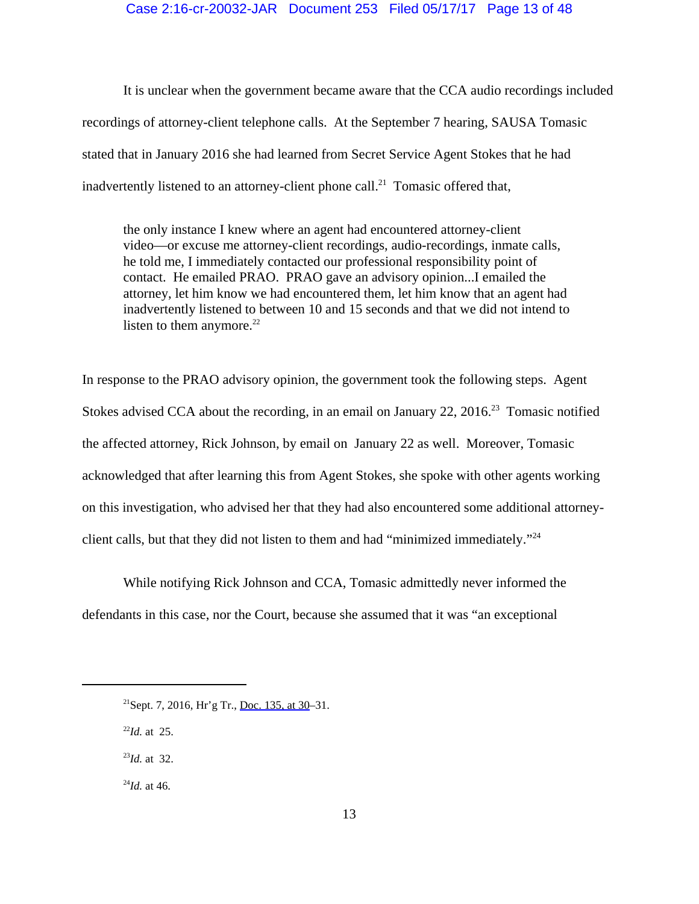## Case 2:16-cr-20032-JAR Document 253 Filed 05/17/17 Page 13 of 48

It is unclear when the government became aware that the CCA audio recordings included recordings of attorney-client telephone calls. At the September 7 hearing, SAUSA Tomasic stated that in January 2016 she had learned from Secret Service Agent Stokes that he had inadvertently listened to an attorney-client phone call.<sup>21</sup> Tomasic offered that,

the only instance I knew where an agent had encountered attorney-client video—or excuse me attorney-client recordings, audio-recordings, inmate calls, he told me, I immediately contacted our professional responsibility point of contact. He emailed PRAO. PRAO gave an advisory opinion...I emailed the attorney, let him know we had encountered them, let him know that an agent had inadvertently listened to between 10 and 15 seconds and that we did not intend to listen to them anymore. $22$ 

In response to the PRAO advisory opinion, the government took the following steps. Agent Stokes advised CCA about the recording, in an email on January 22,  $2016<sup>23</sup>$  Tomasic notified the affected attorney, Rick Johnson, by email on January 22 as well. Moreover, Tomasic acknowledged that after learning this from Agent Stokes, she spoke with other agents working on this investigation, who advised her that they had also encountered some additional attorneyclient calls, but that they did not listen to them and had "minimized immediately."24

While notifying Rick Johnson and CCA, Tomasic admittedly never informed the defendants in this case, nor the Court, because she assumed that it was "an exceptional

<sup>22</sup>*Id.* at 25.

<sup>23</sup>*Id.* at 32.

 $^{24}$ *Id.* at 46.

<sup>&</sup>lt;sup>21</sup>Sept. 7, 2016, Hr'g Tr., [Doc. 135, at 30](https://jenie.ao.dcn/ksd-ecf/d/cmecfservices/rest/file/finddoc?caseYear=2016&caseNum=20032&caseType=cr&caseOffice=2&docNum=135#page=30)–31.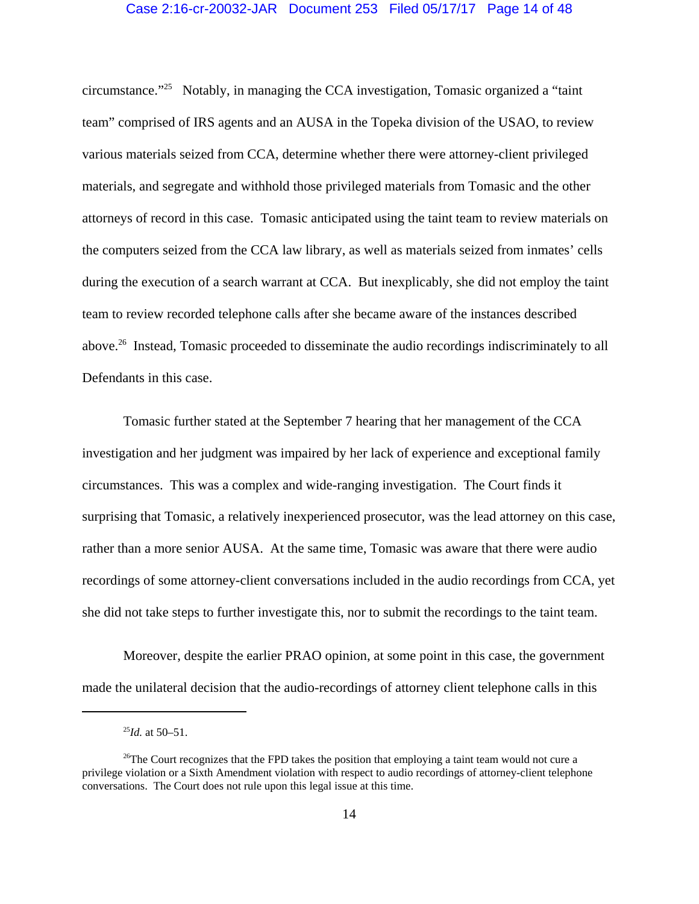# Case 2:16-cr-20032-JAR Document 253 Filed 05/17/17 Page 14 of 48

circumstance."25 Notably, in managing the CCA investigation, Tomasic organized a "taint team" comprised of IRS agents and an AUSA in the Topeka division of the USAO, to review various materials seized from CCA, determine whether there were attorney-client privileged materials, and segregate and withhold those privileged materials from Tomasic and the other attorneys of record in this case. Tomasic anticipated using the taint team to review materials on the computers seized from the CCA law library, as well as materials seized from inmates' cells during the execution of a search warrant at CCA. But inexplicably, she did not employ the taint team to review recorded telephone calls after she became aware of the instances described above.26 Instead, Tomasic proceeded to disseminate the audio recordings indiscriminately to all Defendants in this case.

Tomasic further stated at the September 7 hearing that her management of the CCA investigation and her judgment was impaired by her lack of experience and exceptional family circumstances. This was a complex and wide-ranging investigation. The Court finds it surprising that Tomasic, a relatively inexperienced prosecutor, was the lead attorney on this case, rather than a more senior AUSA. At the same time, Tomasic was aware that there were audio recordings of some attorney-client conversations included in the audio recordings from CCA, yet she did not take steps to further investigate this, nor to submit the recordings to the taint team.

Moreover, despite the earlier PRAO opinion, at some point in this case, the government made the unilateral decision that the audio-recordings of attorney client telephone calls in this

 $^{25}$ *Id.* at 50–51.

<sup>&</sup>lt;sup>26</sup>The Court recognizes that the FPD takes the position that employing a taint team would not cure a privilege violation or a Sixth Amendment violation with respect to audio recordings of attorney-client telephone conversations. The Court does not rule upon this legal issue at this time.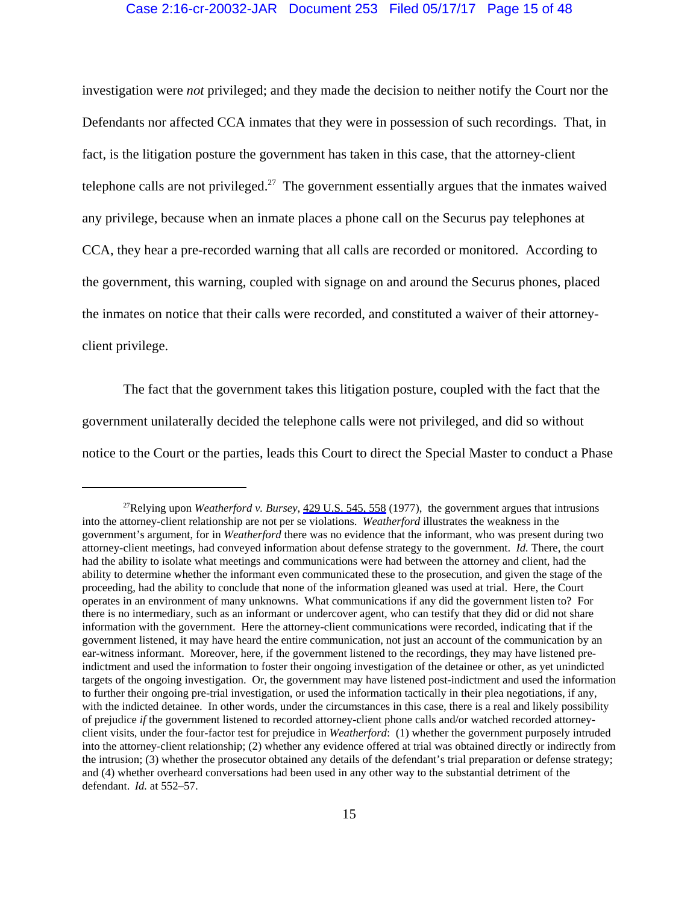# Case 2:16-cr-20032-JAR Document 253 Filed 05/17/17 Page 15 of 48

investigation were *not* privileged; and they made the decision to neither notify the Court nor the Defendants nor affected CCA inmates that they were in possession of such recordings. That, in fact, is the litigation posture the government has taken in this case, that the attorney-client telephone calls are not privileged.<sup>27</sup> The government essentially argues that the inmates waived any privilege, because when an inmate places a phone call on the Securus pay telephones at CCA, they hear a pre-recorded warning that all calls are recorded or monitored. According to the government, this warning, coupled with signage on and around the Securus phones, placed the inmates on notice that their calls were recorded, and constituted a waiver of their attorneyclient privilege.

The fact that the government takes this litigation posture, coupled with the fact that the government unilaterally decided the telephone calls were not privileged, and did so without notice to the Court or the parties, leads this Court to direct the Special Master to conduct a Phase

<sup>27</sup>Relying upon *Weatherford v. Bursey*, [429 U.S. 545, 558](https://www.westlaw.com/Link/Document/FullText?rs=USCLink&vr=3.0&findType=Y&cite=429+u.s.+545&refPos=558&refPosType=s&clientid=USCourts) (1977), the government argues that intrusions into the attorney-client relationship are not per se violations. *Weatherford* illustrates the weakness in the government's argument, for in *Weatherford* there was no evidence that the informant, who was present during two attorney-client meetings, had conveyed information about defense strategy to the government. *Id.* There, the court had the ability to isolate what meetings and communications were had between the attorney and client, had the ability to determine whether the informant even communicated these to the prosecution, and given the stage of the proceeding, had the ability to conclude that none of the information gleaned was used at trial. Here, the Court operates in an environment of many unknowns. What communications if any did the government listen to? For there is no intermediary, such as an informant or undercover agent, who can testify that they did or did not share information with the government. Here the attorney-client communications were recorded, indicating that if the government listened, it may have heard the entire communication, not just an account of the communication by an ear-witness informant. Moreover, here, if the government listened to the recordings, they may have listened preindictment and used the information to foster their ongoing investigation of the detainee or other, as yet unindicted targets of the ongoing investigation. Or, the government may have listened post-indictment and used the information to further their ongoing pre-trial investigation, or used the information tactically in their plea negotiations, if any, with the indicted detainee. In other words, under the circumstances in this case, there is a real and likely possibility of prejudice *if* the government listened to recorded attorney-client phone calls and/or watched recorded attorneyclient visits, under the four-factor test for prejudice in *Weatherford*: (1) whether the government purposely intruded into the attorney-client relationship; (2) whether any evidence offered at trial was obtained directly or indirectly from the intrusion; (3) whether the prosecutor obtained any details of the defendant's trial preparation or defense strategy; and (4) whether overheard conversations had been used in any other way to the substantial detriment of the defendant. *Id.* at 552–57.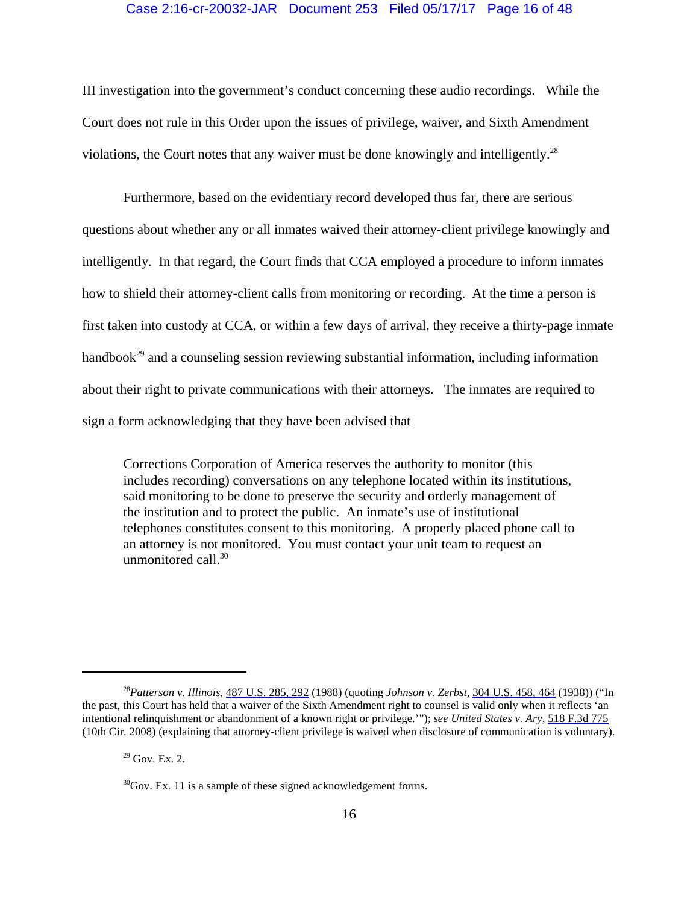## Case 2:16-cr-20032-JAR Document 253 Filed 05/17/17 Page 16 of 48

III investigation into the government's conduct concerning these audio recordings. While the Court does not rule in this Order upon the issues of privilege, waiver, and Sixth Amendment violations, the Court notes that any waiver must be done knowingly and intelligently.28

Furthermore, based on the evidentiary record developed thus far, there are serious questions about whether any or all inmates waived their attorney-client privilege knowingly and intelligently. In that regard, the Court finds that CCA employed a procedure to inform inmates how to shield their attorney-client calls from monitoring or recording. At the time a person is first taken into custody at CCA, or within a few days of arrival, they receive a thirty-page inmate handbook<sup>29</sup> and a counseling session reviewing substantial information, including information about their right to private communications with their attorneys. The inmates are required to sign a form acknowledging that they have been advised that

Corrections Corporation of America reserves the authority to monitor (this includes recording) conversations on any telephone located within its institutions, said monitoring to be done to preserve the security and orderly management of the institution and to protect the public. An inmate's use of institutional telephones constitutes consent to this monitoring. A properly placed phone call to an attorney is not monitored. You must contact your unit team to request an unmonitored call.<sup>30</sup>

<sup>28</sup>*Patterson v. Illinois*, [487 U.S. 285, 292](https://www.westlaw.com/Link/Document/FullText?rs=USCLink&vr=3.0&findType=Y&cite=487+u.s.+285&refPos=292&refPosType=s&clientid=USCourts) (1988) (quoting *Johnson v. Zerbst*, [304 U.S. 458, 464](https://www.westlaw.com/Link/Document/FullText?rs=USCLink&vr=3.0&findType=Y&cite=304+u.s.+458&refPos=464&refPosType=s&clientid=USCourts) (1938)) ("In the past, this Court has held that a waiver of the Sixth Amendment right to counsel is valid only when it reflects 'an intentional relinquishment or abandonment of a known right or privilege.'"); *see United States v. Ary*, [518 F.3d 775](https://www.westlaw.com/Link/Document/FullText?rs=USCLink&vr=3.0&findType=Y&cite=518++f.3d++775&refPos=775&refPosType=s&clientid=USCourts) (10th Cir. 2008) (explaining that attorney-client privilege is waived when disclosure of communication is voluntary).

 $29$  Gov. Ex. 2.

 $30^3$ Gov. Ex. 11 is a sample of these signed acknowledgement forms.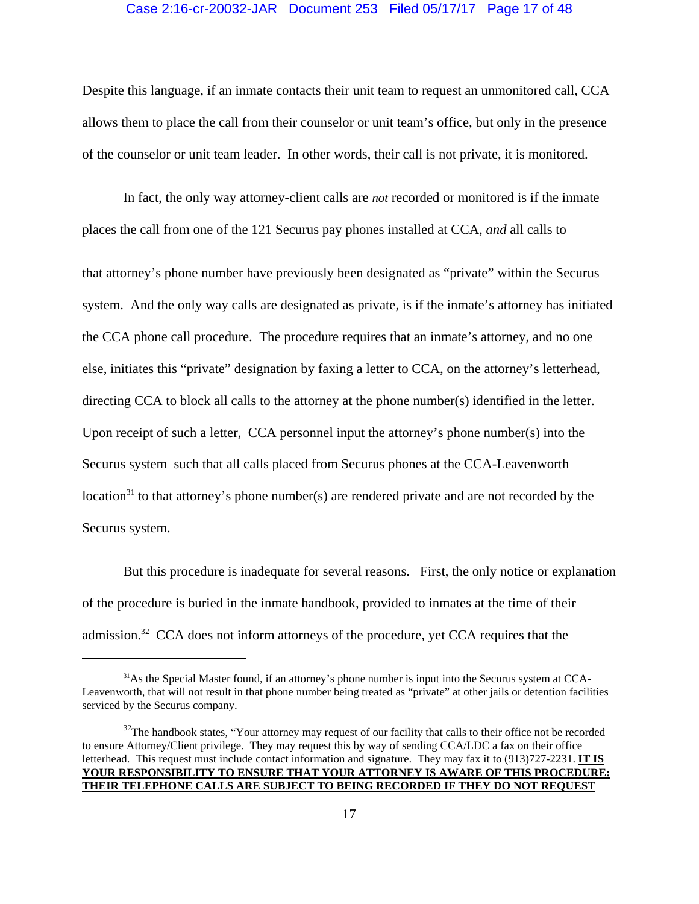## Case 2:16-cr-20032-JAR Document 253 Filed 05/17/17 Page 17 of 48

Despite this language, if an inmate contacts their unit team to request an unmonitored call, CCA allows them to place the call from their counselor or unit team's office, but only in the presence of the counselor or unit team leader. In other words, their call is not private, it is monitored.

In fact, the only way attorney-client calls are *not* recorded or monitored is if the inmate places the call from one of the 121 Securus pay phones installed at CCA, *and* all calls to that attorney's phone number have previously been designated as "private" within the Securus system. And the only way calls are designated as private, is if the inmate's attorney has initiated the CCA phone call procedure. The procedure requires that an inmate's attorney, and no one else, initiates this "private" designation by faxing a letter to CCA, on the attorney's letterhead, directing CCA to block all calls to the attorney at the phone number(s) identified in the letter. Upon receipt of such a letter, CCA personnel input the attorney's phone number(s) into the Securus system such that all calls placed from Securus phones at the CCA-Leavenworth location<sup>31</sup> to that attorney's phone number(s) are rendered private and are not recorded by the Securus system.

But this procedure is inadequate for several reasons. First, the only notice or explanation of the procedure is buried in the inmate handbook, provided to inmates at the time of their admission.<sup>32</sup> CCA does not inform attorneys of the procedure, yet CCA requires that the

<sup>&</sup>lt;sup>31</sup>As the Special Master found, if an attorney's phone number is input into the Securus system at CCA-Leavenworth, that will not result in that phone number being treated as "private" at other jails or detention facilities serviced by the Securus company.

<sup>&</sup>lt;sup>32</sup>The handbook states, "Your attorney may request of our facility that calls to their office not be recorded to ensure Attorney/Client privilege. They may request this by way of sending CCA/LDC a fax on their office letterhead. This request must include contact information and signature. They may fax it to (913)727-2231. **IT IS YOUR RESPONSIBILITY TO ENSURE THAT YOUR ATTORNEY IS AWARE OF THIS PROCEDURE: THEIR TELEPHONE CALLS ARE SUBJECT TO BEING RECORDED IF THEY DO NOT REQUEST**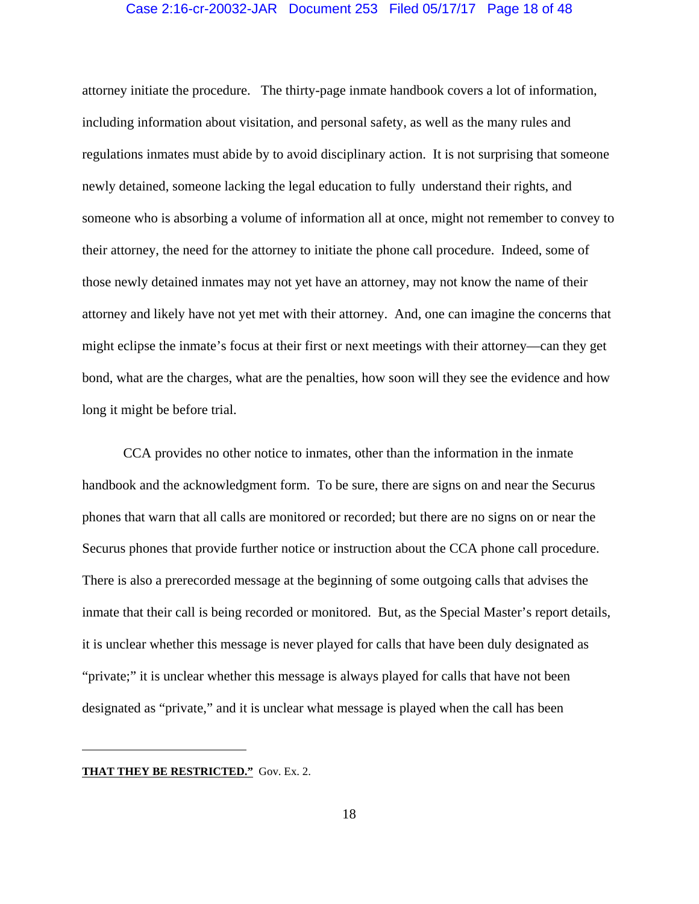# Case 2:16-cr-20032-JAR Document 253 Filed 05/17/17 Page 18 of 48

attorney initiate the procedure. The thirty-page inmate handbook covers a lot of information, including information about visitation, and personal safety, as well as the many rules and regulations inmates must abide by to avoid disciplinary action. It is not surprising that someone newly detained, someone lacking the legal education to fully understand their rights, and someone who is absorbing a volume of information all at once, might not remember to convey to their attorney, the need for the attorney to initiate the phone call procedure. Indeed, some of those newly detained inmates may not yet have an attorney, may not know the name of their attorney and likely have not yet met with their attorney. And, one can imagine the concerns that might eclipse the inmate's focus at their first or next meetings with their attorney—can they get bond, what are the charges, what are the penalties, how soon will they see the evidence and how long it might be before trial.

CCA provides no other notice to inmates, other than the information in the inmate handbook and the acknowledgment form. To be sure, there are signs on and near the Securus phones that warn that all calls are monitored or recorded; but there are no signs on or near the Securus phones that provide further notice or instruction about the CCA phone call procedure. There is also a prerecorded message at the beginning of some outgoing calls that advises the inmate that their call is being recorded or monitored. But, as the Special Master's report details, it is unclear whether this message is never played for calls that have been duly designated as "private;" it is unclear whether this message is always played for calls that have not been designated as "private," and it is unclear what message is played when the call has been

#### **THAT THEY BE RESTRICTED."** Gov. Ex. 2.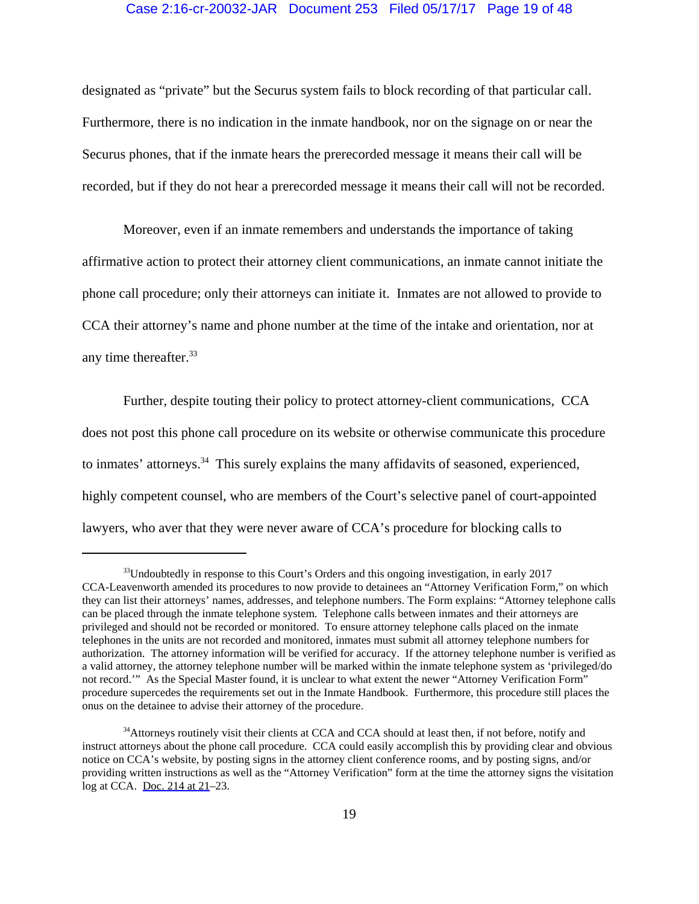# Case 2:16-cr-20032-JAR Document 253 Filed 05/17/17 Page 19 of 48

designated as "private" but the Securus system fails to block recording of that particular call. Furthermore, there is no indication in the inmate handbook, nor on the signage on or near the Securus phones, that if the inmate hears the prerecorded message it means their call will be recorded, but if they do not hear a prerecorded message it means their call will not be recorded.

Moreover, even if an inmate remembers and understands the importance of taking affirmative action to protect their attorney client communications, an inmate cannot initiate the phone call procedure; only their attorneys can initiate it. Inmates are not allowed to provide to CCA their attorney's name and phone number at the time of the intake and orientation, nor at any time thereafter.<sup>33</sup>

Further, despite touting their policy to protect attorney-client communications, CCA does not post this phone call procedure on its website or otherwise communicate this procedure to inmates' attorneys.<sup>34</sup> This surely explains the many affidavits of seasoned, experienced, highly competent counsel, who are members of the Court's selective panel of court-appointed lawyers, who aver that they were never aware of CCA's procedure for blocking calls to

 $33$ Undoubtedly in response to this Court's Orders and this ongoing investigation, in early 2017 CCA-Leavenworth amended its procedures to now provide to detainees an "Attorney Verification Form," on which they can list their attorneys' names, addresses, and telephone numbers. The Form explains: "Attorney telephone calls can be placed through the inmate telephone system. Telephone calls between inmates and their attorneys are privileged and should not be recorded or monitored. To ensure attorney telephone calls placed on the inmate telephones in the units are not recorded and monitored, inmates must submit all attorney telephone numbers for authorization. The attorney information will be verified for accuracy. If the attorney telephone number is verified as a valid attorney, the attorney telephone number will be marked within the inmate telephone system as 'privileged/do not record.'" As the Special Master found, it is unclear to what extent the newer "Attorney Verification Form" procedure supercedes the requirements set out in the Inmate Handbook. Furthermore, this procedure still places the onus on the detainee to advise their attorney of the procedure.

<sup>&</sup>lt;sup>34</sup>Attorneys routinely visit their clients at CCA and CCA should at least then, if not before, notify and instruct attorneys about the phone call procedure. CCA could easily accomplish this by providing clear and obvious notice on CCA's website, by posting signs in the attorney client conference rooms, and by posting signs, and/or providing written instructions as well as the "Attorney Verification" form at the time the attorney signs the visitation log at CCA. [Doc. 214 at 21–](https://jenie.ao.dcn/ksd-ecf/d/cmecfservices/rest/file/finddoc?caseYear=2016&caseNum=20032&caseType=cr&caseOffice=2&docNum=214#page=21)23.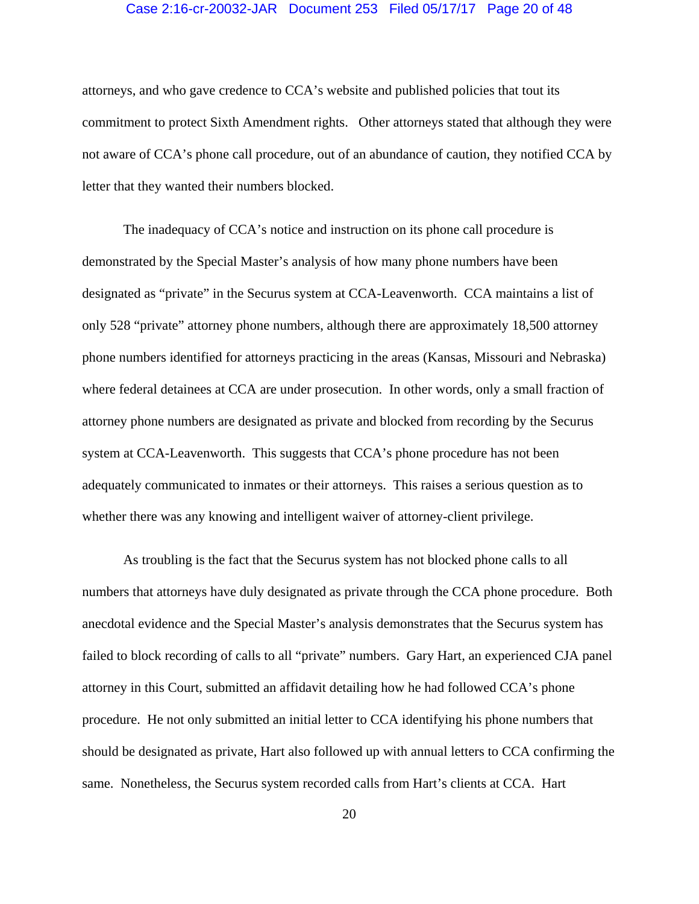#### Case 2:16-cr-20032-JAR Document 253 Filed 05/17/17 Page 20 of 48

attorneys, and who gave credence to CCA's website and published policies that tout its commitment to protect Sixth Amendment rights. Other attorneys stated that although they were not aware of CCA's phone call procedure, out of an abundance of caution, they notified CCA by letter that they wanted their numbers blocked.

The inadequacy of CCA's notice and instruction on its phone call procedure is demonstrated by the Special Master's analysis of how many phone numbers have been designated as "private" in the Securus system at CCA-Leavenworth. CCA maintains a list of only 528 "private" attorney phone numbers, although there are approximately 18,500 attorney phone numbers identified for attorneys practicing in the areas (Kansas, Missouri and Nebraska) where federal detainees at CCA are under prosecution. In other words, only a small fraction of attorney phone numbers are designated as private and blocked from recording by the Securus system at CCA-Leavenworth. This suggests that CCA's phone procedure has not been adequately communicated to inmates or their attorneys. This raises a serious question as to whether there was any knowing and intelligent waiver of attorney-client privilege.

As troubling is the fact that the Securus system has not blocked phone calls to all numbers that attorneys have duly designated as private through the CCA phone procedure. Both anecdotal evidence and the Special Master's analysis demonstrates that the Securus system has failed to block recording of calls to all "private" numbers. Gary Hart, an experienced CJA panel attorney in this Court, submitted an affidavit detailing how he had followed CCA's phone procedure. He not only submitted an initial letter to CCA identifying his phone numbers that should be designated as private, Hart also followed up with annual letters to CCA confirming the same. Nonetheless, the Securus system recorded calls from Hart's clients at CCA. Hart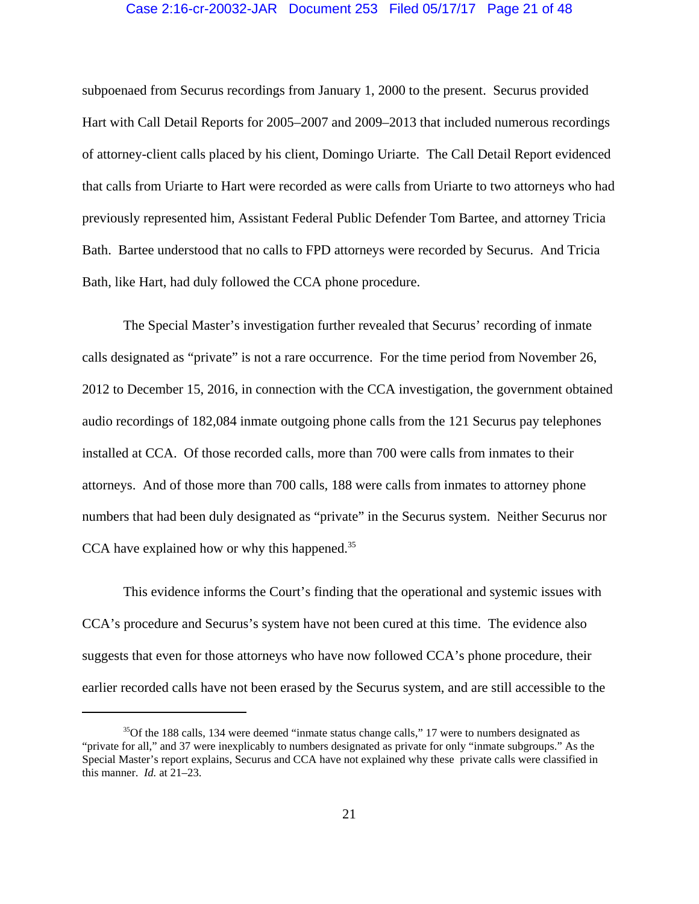#### Case 2:16-cr-20032-JAR Document 253 Filed 05/17/17 Page 21 of 48

subpoenaed from Securus recordings from January 1, 2000 to the present. Securus provided Hart with Call Detail Reports for 2005–2007 and 2009–2013 that included numerous recordings of attorney-client calls placed by his client, Domingo Uriarte. The Call Detail Report evidenced that calls from Uriarte to Hart were recorded as were calls from Uriarte to two attorneys who had previously represented him, Assistant Federal Public Defender Tom Bartee, and attorney Tricia Bath. Bartee understood that no calls to FPD attorneys were recorded by Securus. And Tricia Bath, like Hart, had duly followed the CCA phone procedure.

The Special Master's investigation further revealed that Securus' recording of inmate calls designated as "private" is not a rare occurrence. For the time period from November 26, 2012 to December 15, 2016, in connection with the CCA investigation, the government obtained audio recordings of 182,084 inmate outgoing phone calls from the 121 Securus pay telephones installed at CCA. Of those recorded calls, more than 700 were calls from inmates to their attorneys. And of those more than 700 calls, 188 were calls from inmates to attorney phone numbers that had been duly designated as "private" in the Securus system. Neither Securus nor CCA have explained how or why this happened.<sup>35</sup>

This evidence informs the Court's finding that the operational and systemic issues with CCA's procedure and Securus's system have not been cured at this time. The evidence also suggests that even for those attorneys who have now followed CCA's phone procedure, their earlier recorded calls have not been erased by the Securus system, and are still accessible to the

<sup>&</sup>lt;sup>35</sup>Of the 188 calls, 134 were deemed "inmate status change calls," 17 were to numbers designated as "private for all," and 37 were inexplicably to numbers designated as private for only "inmate subgroups." As the Special Master's report explains, Securus and CCA have not explained why these private calls were classified in this manner. *Id.* at 21–23.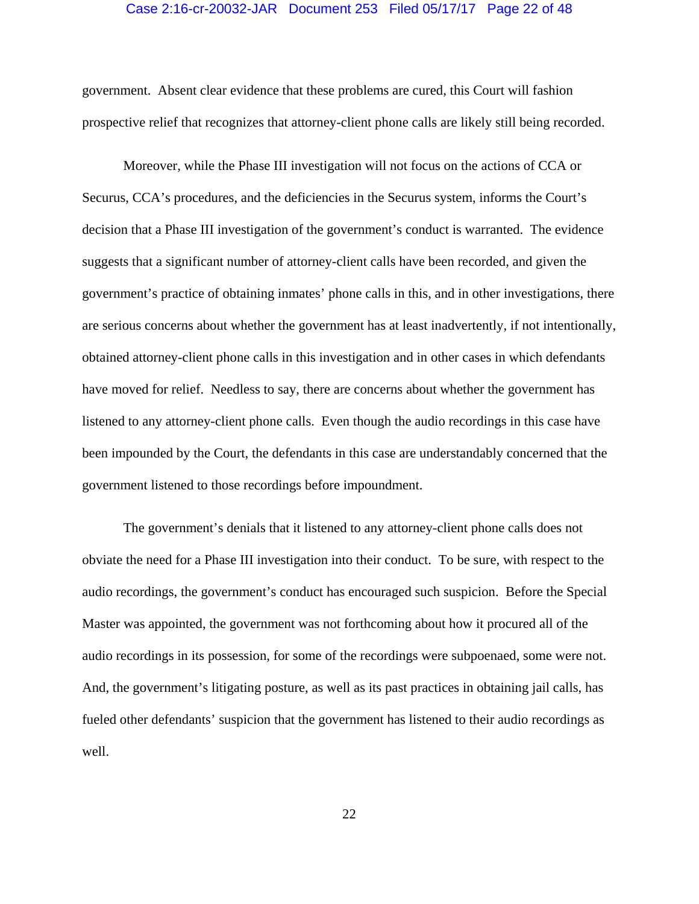#### Case 2:16-cr-20032-JAR Document 253 Filed 05/17/17 Page 22 of 48

government. Absent clear evidence that these problems are cured, this Court will fashion prospective relief that recognizes that attorney-client phone calls are likely still being recorded.

Moreover, while the Phase III investigation will not focus on the actions of CCA or Securus, CCA's procedures, and the deficiencies in the Securus system, informs the Court's decision that a Phase III investigation of the government's conduct is warranted. The evidence suggests that a significant number of attorney-client calls have been recorded, and given the government's practice of obtaining inmates' phone calls in this, and in other investigations, there are serious concerns about whether the government has at least inadvertently, if not intentionally, obtained attorney-client phone calls in this investigation and in other cases in which defendants have moved for relief. Needless to say, there are concerns about whether the government has listened to any attorney-client phone calls. Even though the audio recordings in this case have been impounded by the Court, the defendants in this case are understandably concerned that the government listened to those recordings before impoundment.

The government's denials that it listened to any attorney-client phone calls does not obviate the need for a Phase III investigation into their conduct. To be sure, with respect to the audio recordings, the government's conduct has encouraged such suspicion. Before the Special Master was appointed, the government was not forthcoming about how it procured all of the audio recordings in its possession, for some of the recordings were subpoenaed, some were not. And, the government's litigating posture, as well as its past practices in obtaining jail calls, has fueled other defendants' suspicion that the government has listened to their audio recordings as well.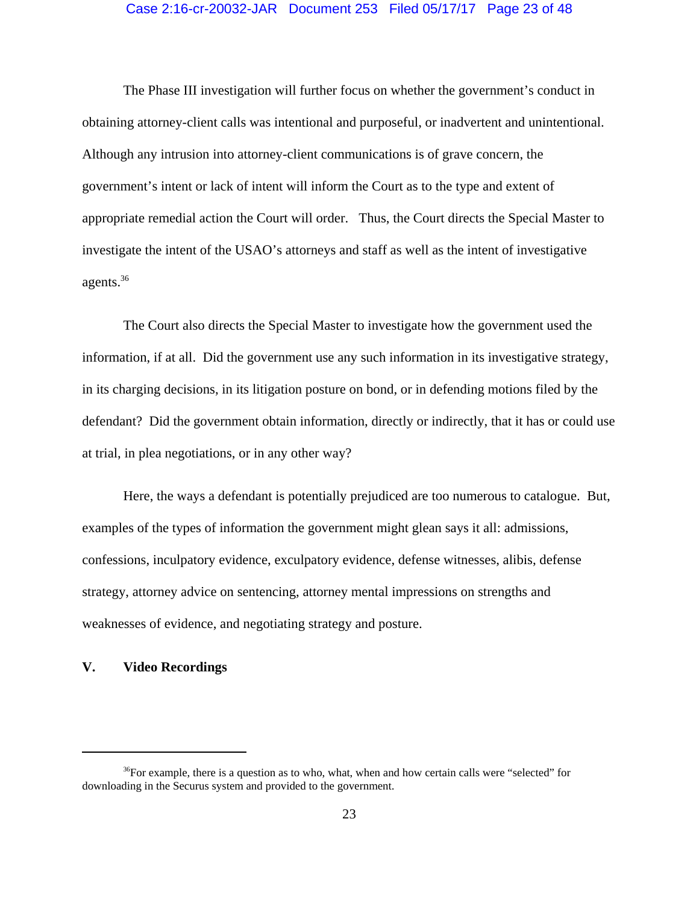# Case 2:16-cr-20032-JAR Document 253 Filed 05/17/17 Page 23 of 48

The Phase III investigation will further focus on whether the government's conduct in obtaining attorney-client calls was intentional and purposeful, or inadvertent and unintentional. Although any intrusion into attorney-client communications is of grave concern, the government's intent or lack of intent will inform the Court as to the type and extent of appropriate remedial action the Court will order. Thus, the Court directs the Special Master to investigate the intent of the USAO's attorneys and staff as well as the intent of investigative agents.36

The Court also directs the Special Master to investigate how the government used the information, if at all. Did the government use any such information in its investigative strategy, in its charging decisions, in its litigation posture on bond, or in defending motions filed by the defendant? Did the government obtain information, directly or indirectly, that it has or could use at trial, in plea negotiations, or in any other way?

Here, the ways a defendant is potentially prejudiced are too numerous to catalogue. But, examples of the types of information the government might glean says it all: admissions, confessions, inculpatory evidence, exculpatory evidence, defense witnesses, alibis, defense strategy, attorney advice on sentencing, attorney mental impressions on strengths and weaknesses of evidence, and negotiating strategy and posture.

# **V. Video Recordings**

 $36$ For example, there is a question as to who, what, when and how certain calls were "selected" for downloading in the Securus system and provided to the government.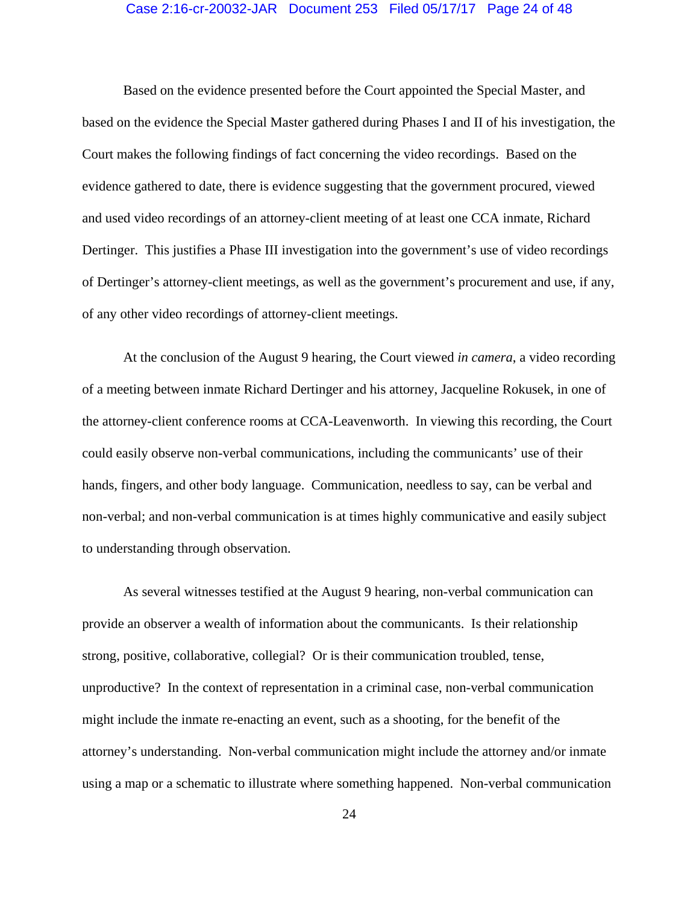#### Case 2:16-cr-20032-JAR Document 253 Filed 05/17/17 Page 24 of 48

Based on the evidence presented before the Court appointed the Special Master, and based on the evidence the Special Master gathered during Phases I and II of his investigation, the Court makes the following findings of fact concerning the video recordings. Based on the evidence gathered to date, there is evidence suggesting that the government procured, viewed and used video recordings of an attorney-client meeting of at least one CCA inmate, Richard Dertinger. This justifies a Phase III investigation into the government's use of video recordings of Dertinger's attorney-client meetings, as well as the government's procurement and use, if any, of any other video recordings of attorney-client meetings.

At the conclusion of the August 9 hearing, the Court viewed *in camera*, a video recording of a meeting between inmate Richard Dertinger and his attorney, Jacqueline Rokusek, in one of the attorney-client conference rooms at CCA-Leavenworth. In viewing this recording, the Court could easily observe non-verbal communications, including the communicants' use of their hands, fingers, and other body language. Communication, needless to say, can be verbal and non-verbal; and non-verbal communication is at times highly communicative and easily subject to understanding through observation.

As several witnesses testified at the August 9 hearing, non-verbal communication can provide an observer a wealth of information about the communicants. Is their relationship strong, positive, collaborative, collegial? Or is their communication troubled, tense, unproductive? In the context of representation in a criminal case, non-verbal communication might include the inmate re-enacting an event, such as a shooting, for the benefit of the attorney's understanding. Non-verbal communication might include the attorney and/or inmate using a map or a schematic to illustrate where something happened. Non-verbal communication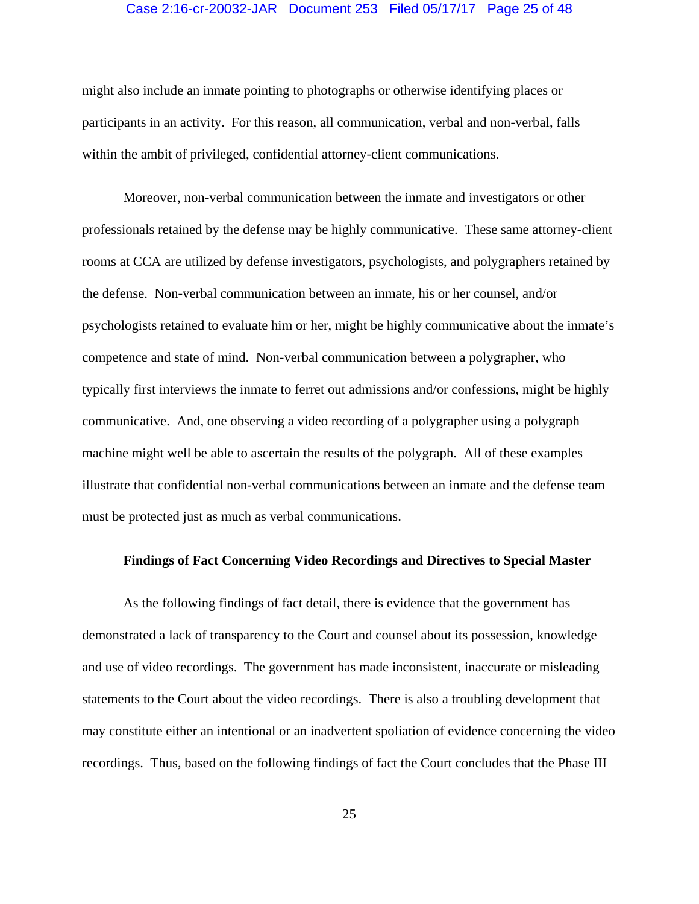# Case 2:16-cr-20032-JAR Document 253 Filed 05/17/17 Page 25 of 48

might also include an inmate pointing to photographs or otherwise identifying places or participants in an activity. For this reason, all communication, verbal and non-verbal, falls within the ambit of privileged, confidential attorney-client communications.

Moreover, non-verbal communication between the inmate and investigators or other professionals retained by the defense may be highly communicative. These same attorney-client rooms at CCA are utilized by defense investigators, psychologists, and polygraphers retained by the defense. Non-verbal communication between an inmate, his or her counsel, and/or psychologists retained to evaluate him or her, might be highly communicative about the inmate's competence and state of mind. Non-verbal communication between a polygrapher, who typically first interviews the inmate to ferret out admissions and/or confessions, might be highly communicative. And, one observing a video recording of a polygrapher using a polygraph machine might well be able to ascertain the results of the polygraph. All of these examples illustrate that confidential non-verbal communications between an inmate and the defense team must be protected just as much as verbal communications.

# **Findings of Fact Concerning Video Recordings and Directives to Special Master**

As the following findings of fact detail, there is evidence that the government has demonstrated a lack of transparency to the Court and counsel about its possession, knowledge and use of video recordings. The government has made inconsistent, inaccurate or misleading statements to the Court about the video recordings. There is also a troubling development that may constitute either an intentional or an inadvertent spoliation of evidence concerning the video recordings. Thus, based on the following findings of fact the Court concludes that the Phase III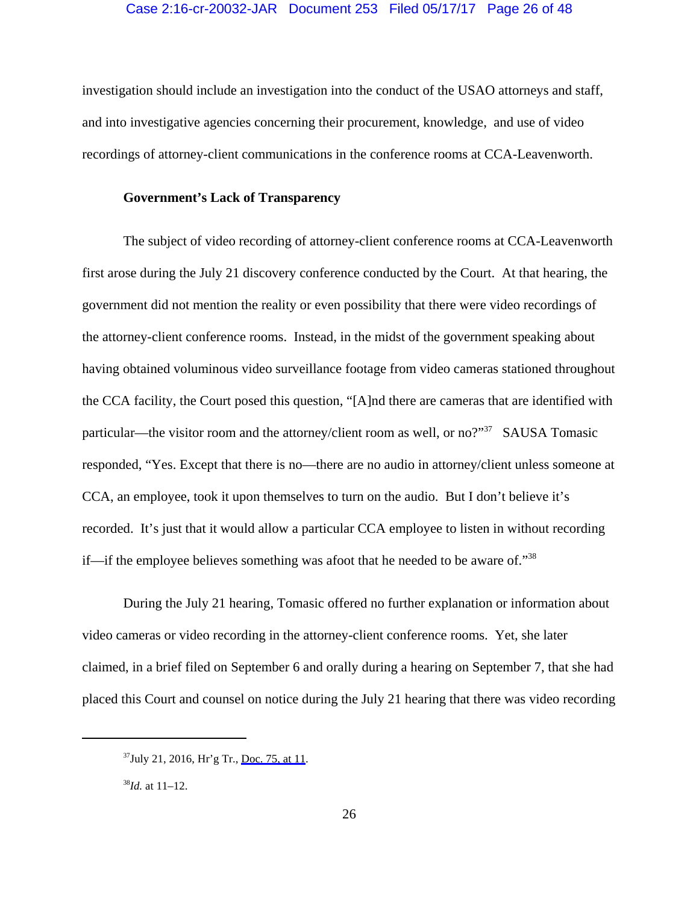investigation should include an investigation into the conduct of the USAO attorneys and staff, and into investigative agencies concerning their procurement, knowledge, and use of video recordings of attorney-client communications in the conference rooms at CCA-Leavenworth.

# **Government's Lack of Transparency**

The subject of video recording of attorney-client conference rooms at CCA-Leavenworth first arose during the July 21 discovery conference conducted by the Court. At that hearing, the government did not mention the reality or even possibility that there were video recordings of the attorney-client conference rooms. Instead, in the midst of the government speaking about having obtained voluminous video surveillance footage from video cameras stationed throughout the CCA facility, the Court posed this question, "[A]nd there are cameras that are identified with particular—the visitor room and the attorney/client room as well, or no?"<sup>37</sup> SAUSA Tomasic responded, "Yes. Except that there is no—there are no audio in attorney/client unless someone at CCA, an employee, took it upon themselves to turn on the audio. But I don't believe it's recorded. It's just that it would allow a particular CCA employee to listen in without recording if—if the employee believes something was afoot that he needed to be aware of."38

During the July 21 hearing, Tomasic offered no further explanation or information about video cameras or video recording in the attorney-client conference rooms. Yet, she later claimed, in a brief filed on September 6 and orally during a hearing on September 7, that she had placed this Court and counsel on notice during the July 21 hearing that there was video recording

 $37$ July 21, 2016, Hr'g Tr., [Doc. 75, at 11.](https://jenie.ao.dcn/ksd-ecf/d/cmecfservices/rest/file/finddoc?caseYear=2016&caseNum=20032&caseType=cr&caseOffice=2&docNum=75#page=11)

<sup>38</sup>*Id.* at 11–12.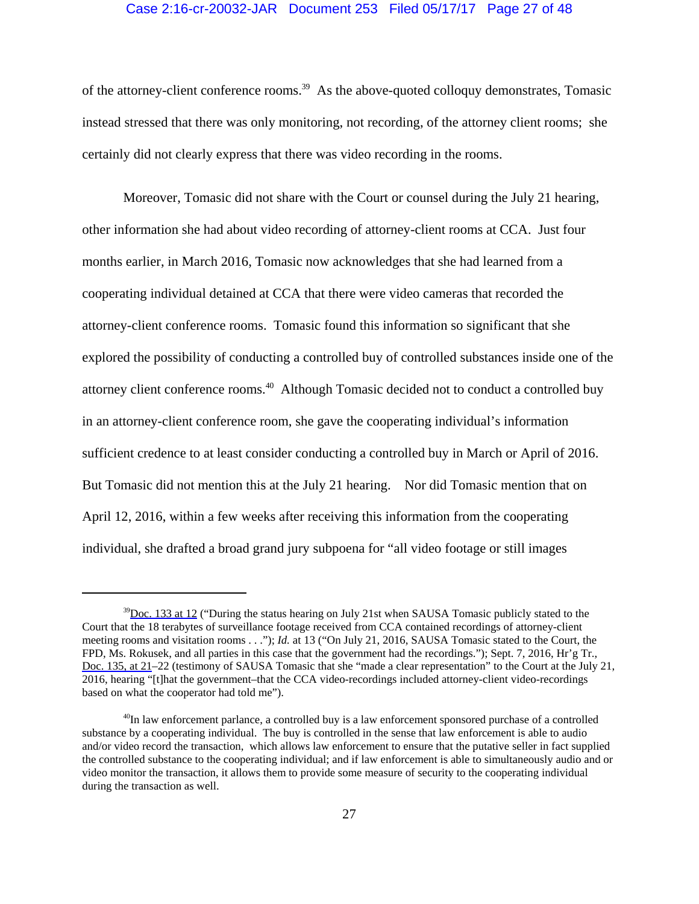#### Case 2:16-cr-20032-JAR Document 253 Filed 05/17/17 Page 27 of 48

of the attorney-client conference rooms.<sup>39</sup> As the above-quoted colloquy demonstrates, Tomasic instead stressed that there was only monitoring, not recording, of the attorney client rooms; she certainly did not clearly express that there was video recording in the rooms.

Moreover, Tomasic did not share with the Court or counsel during the July 21 hearing, other information she had about video recording of attorney-client rooms at CCA. Just four months earlier, in March 2016, Tomasic now acknowledges that she had learned from a cooperating individual detained at CCA that there were video cameras that recorded the attorney-client conference rooms. Tomasic found this information so significant that she explored the possibility of conducting a controlled buy of controlled substances inside one of the attorney client conference rooms.40 Although Tomasic decided not to conduct a controlled buy in an attorney-client conference room, she gave the cooperating individual's information sufficient credence to at least consider conducting a controlled buy in March or April of 2016. But Tomasic did not mention this at the July 21 hearing. Nor did Tomasic mention that on April 12, 2016, within a few weeks after receiving this information from the cooperating individual, she drafted a broad grand jury subpoena for "all video footage or still images

 $39$ [Doc. 133 at 12](https://jenie.ao.dcn/ksd-ecf/d/cmecfservices/rest/file/finddoc?caseYear=2016&caseNum=20032&caseType=cr&caseOffice=2&docNum=133#page=12) ("During the status hearing on July 21st when SAUSA Tomasic publicly stated to the Court that the 18 terabytes of surveillance footage received from CCA contained recordings of attorney-client meeting rooms and visitation rooms . . ."); *Id.* at 13 ("On July 21, 2016, SAUSA Tomasic stated to the Court, the FPD, Ms. Rokusek, and all parties in this case that the government had the recordings."); Sept. 7, 2016, Hr'g Tr., [Doc. 135, at 21](https://jenie.ao.dcn/ksd-ecf/d/cmecfservices/rest/file/finddoc?caseYear=2016&caseNum=20032&caseType=cr&caseOffice=2&docNum=135#page=21)–22 (testimony of SAUSA Tomasic that she "made a clear representation" to the Court at the July 21, 2016, hearing "[t]hat the government–that the CCA video-recordings included attorney-client video-recordings based on what the cooperator had told me").

<sup>&</sup>lt;sup>40</sup>In law enforcement parlance, a controlled buy is a law enforcement sponsored purchase of a controlled substance by a cooperating individual. The buy is controlled in the sense that law enforcement is able to audio and/or video record the transaction, which allows law enforcement to ensure that the putative seller in fact supplied the controlled substance to the cooperating individual; and if law enforcement is able to simultaneously audio and or video monitor the transaction, it allows them to provide some measure of security to the cooperating individual during the transaction as well.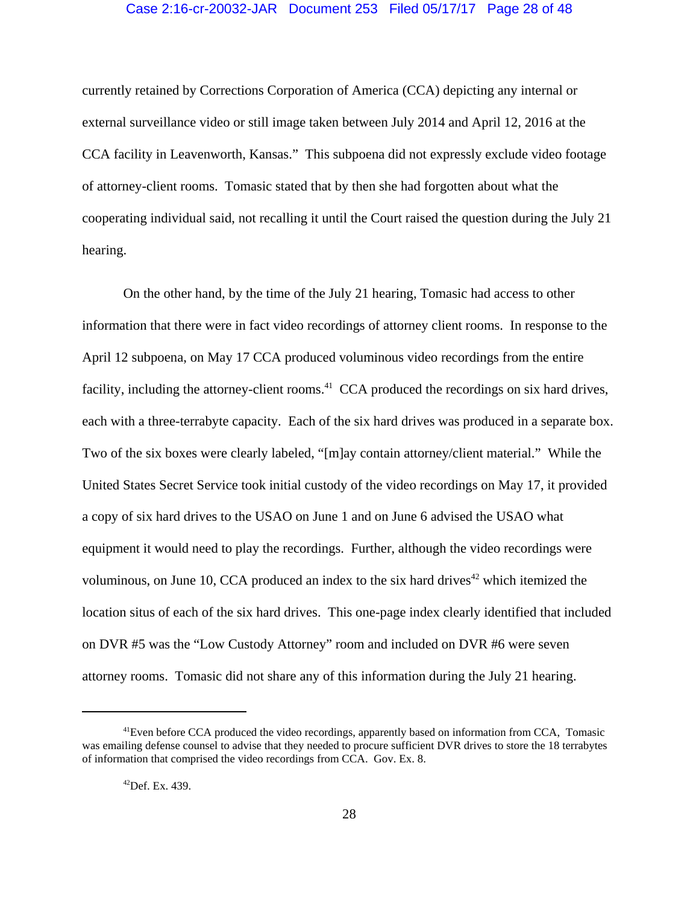## Case 2:16-cr-20032-JAR Document 253 Filed 05/17/17 Page 28 of 48

currently retained by Corrections Corporation of America (CCA) depicting any internal or external surveillance video or still image taken between July 2014 and April 12, 2016 at the CCA facility in Leavenworth, Kansas." This subpoena did not expressly exclude video footage of attorney-client rooms. Tomasic stated that by then she had forgotten about what the cooperating individual said, not recalling it until the Court raised the question during the July 21 hearing.

On the other hand, by the time of the July 21 hearing, Tomasic had access to other information that there were in fact video recordings of attorney client rooms. In response to the April 12 subpoena, on May 17 CCA produced voluminous video recordings from the entire facility, including the attorney-client rooms.<sup>41</sup> CCA produced the recordings on six hard drives, each with a three-terrabyte capacity. Each of the six hard drives was produced in a separate box. Two of the six boxes were clearly labeled, "[m]ay contain attorney/client material." While the United States Secret Service took initial custody of the video recordings on May 17, it provided a copy of six hard drives to the USAO on June 1 and on June 6 advised the USAO what equipment it would need to play the recordings. Further, although the video recordings were voluminous, on June 10, CCA produced an index to the six hard drives<sup> $42$ </sup> which itemized the location situs of each of the six hard drives. This one-page index clearly identified that included on DVR #5 was the "Low Custody Attorney" room and included on DVR #6 were seven attorney rooms. Tomasic did not share any of this information during the July 21 hearing.

<sup>&</sup>lt;sup>41</sup>Even before CCA produced the video recordings, apparently based on information from CCA, Tomasic was emailing defense counsel to advise that they needed to procure sufficient DVR drives to store the 18 terrabytes of information that comprised the video recordings from CCA. Gov. Ex. 8.

 $^{42}$ Def. Ex. 439.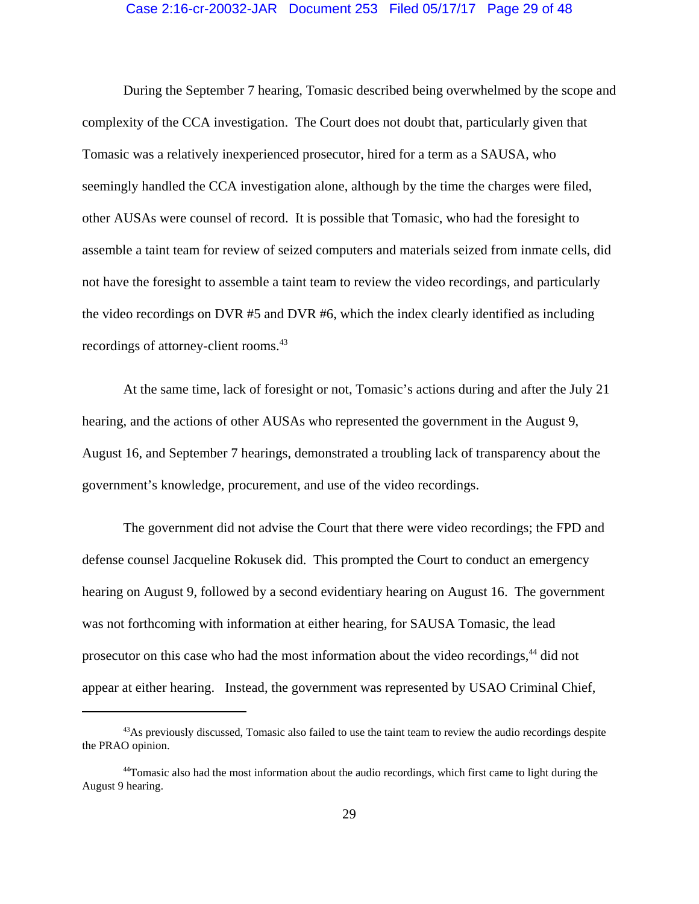#### Case 2:16-cr-20032-JAR Document 253 Filed 05/17/17 Page 29 of 48

During the September 7 hearing, Tomasic described being overwhelmed by the scope and complexity of the CCA investigation. The Court does not doubt that, particularly given that Tomasic was a relatively inexperienced prosecutor, hired for a term as a SAUSA, who seemingly handled the CCA investigation alone, although by the time the charges were filed, other AUSAs were counsel of record. It is possible that Tomasic, who had the foresight to assemble a taint team for review of seized computers and materials seized from inmate cells, did not have the foresight to assemble a taint team to review the video recordings, and particularly the video recordings on DVR #5 and DVR #6, which the index clearly identified as including recordings of attorney-client rooms.<sup>43</sup>

At the same time, lack of foresight or not, Tomasic's actions during and after the July 21 hearing, and the actions of other AUSAs who represented the government in the August 9, August 16, and September 7 hearings, demonstrated a troubling lack of transparency about the government's knowledge, procurement, and use of the video recordings.

The government did not advise the Court that there were video recordings; the FPD and defense counsel Jacqueline Rokusek did. This prompted the Court to conduct an emergency hearing on August 9, followed by a second evidentiary hearing on August 16. The government was not forthcoming with information at either hearing, for SAUSA Tomasic, the lead prosecutor on this case who had the most information about the video recordings,<sup>44</sup> did not appear at either hearing. Instead, the government was represented by USAO Criminal Chief,

<sup>&</sup>lt;sup>43</sup>As previously discussed, Tomasic also failed to use the taint team to review the audio recordings despite the PRAO opinion.

<sup>&</sup>lt;sup>44</sup>Tomasic also had the most information about the audio recordings, which first came to light during the August 9 hearing.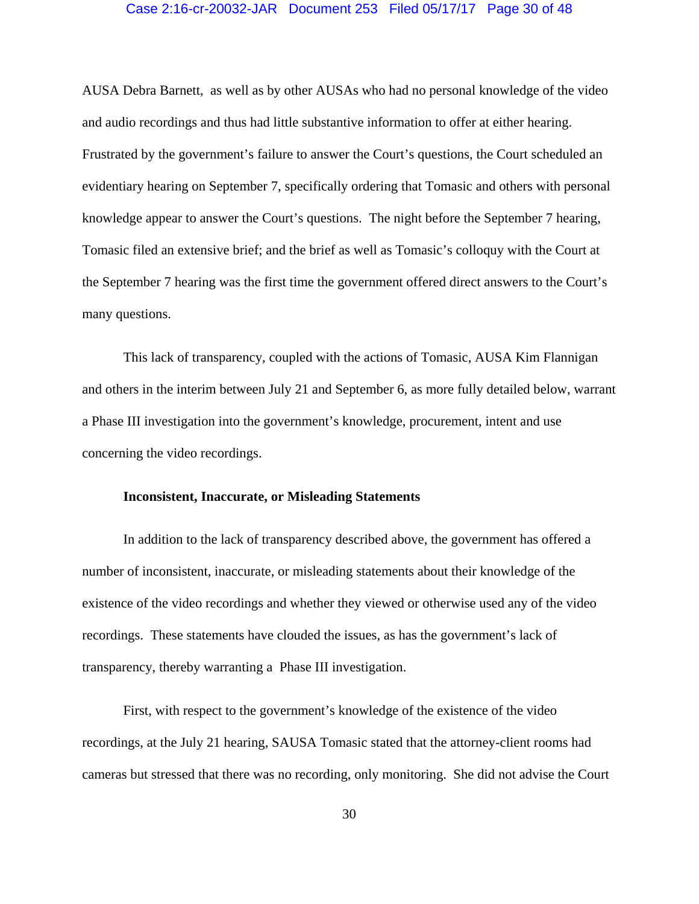## Case 2:16-cr-20032-JAR Document 253 Filed 05/17/17 Page 30 of 48

AUSA Debra Barnett, as well as by other AUSAs who had no personal knowledge of the video and audio recordings and thus had little substantive information to offer at either hearing. Frustrated by the government's failure to answer the Court's questions, the Court scheduled an evidentiary hearing on September 7, specifically ordering that Tomasic and others with personal knowledge appear to answer the Court's questions. The night before the September 7 hearing, Tomasic filed an extensive brief; and the brief as well as Tomasic's colloquy with the Court at the September 7 hearing was the first time the government offered direct answers to the Court's many questions.

This lack of transparency, coupled with the actions of Tomasic, AUSA Kim Flannigan and others in the interim between July 21 and September 6, as more fully detailed below, warrant a Phase III investigation into the government's knowledge, procurement, intent and use concerning the video recordings.

# **Inconsistent, Inaccurate, or Misleading Statements**

In addition to the lack of transparency described above, the government has offered a number of inconsistent, inaccurate, or misleading statements about their knowledge of the existence of the video recordings and whether they viewed or otherwise used any of the video recordings. These statements have clouded the issues, as has the government's lack of transparency, thereby warranting a Phase III investigation.

First, with respect to the government's knowledge of the existence of the video recordings, at the July 21 hearing, SAUSA Tomasic stated that the attorney-client rooms had cameras but stressed that there was no recording, only monitoring. She did not advise the Court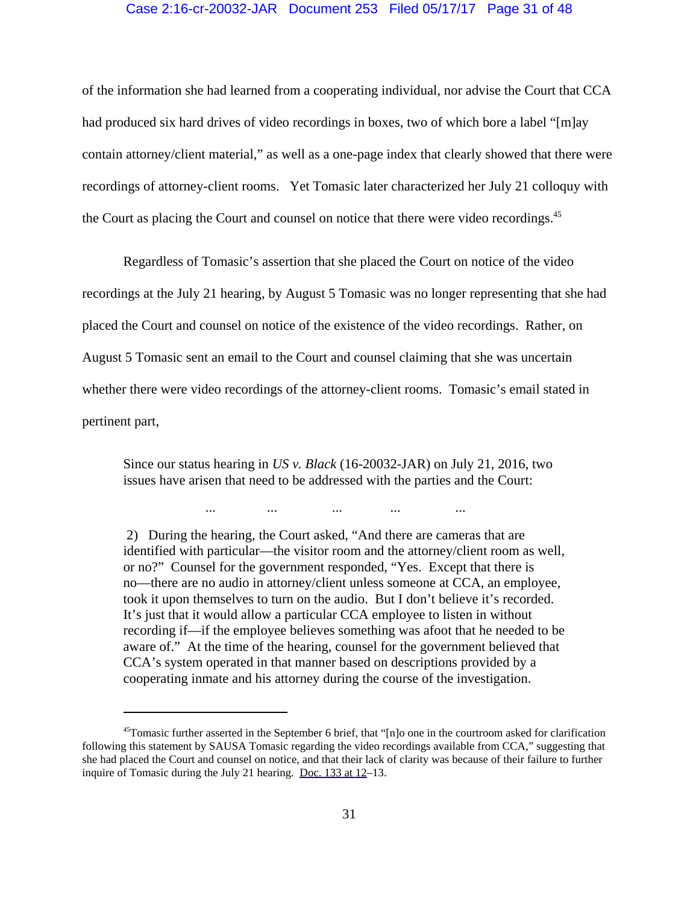# Case 2:16-cr-20032-JAR Document 253 Filed 05/17/17 Page 31 of 48

of the information she had learned from a cooperating individual, nor advise the Court that CCA had produced six hard drives of video recordings in boxes, two of which bore a label "[m]ay contain attorney/client material," as well as a one-page index that clearly showed that there were recordings of attorney-client rooms. Yet Tomasic later characterized her July 21 colloquy with the Court as placing the Court and counsel on notice that there were video recordings.<sup>45</sup>

Regardless of Tomasic's assertion that she placed the Court on notice of the video recordings at the July 21 hearing, by August 5 Tomasic was no longer representing that she had placed the Court and counsel on notice of the existence of the video recordings. Rather, on August 5 Tomasic sent an email to the Court and counsel claiming that she was uncertain whether there were video recordings of the attorney-client rooms. Tomasic's email stated in pertinent part,

Since our status hearing in *US v. Black* (16-20032-JAR) on July 21, 2016, two issues have arisen that need to be addressed with the parties and the Court:

... ... ... ... ...

 2) During the hearing, the Court asked, "And there are cameras that are identified with particular—the visitor room and the attorney/client room as well, or no?" Counsel for the government responded, "Yes. Except that there is no—there are no audio in attorney/client unless someone at CCA, an employee, took it upon themselves to turn on the audio. But I don't believe it's recorded. It's just that it would allow a particular CCA employee to listen in without recording if—if the employee believes something was afoot that he needed to be aware of." At the time of the hearing, counsel for the government believed that CCA's system operated in that manner based on descriptions provided by a cooperating inmate and his attorney during the course of the investigation.

<sup>45</sup>Tomasic further asserted in the September 6 brief, that "[n]o one in the courtroom asked for clarification following this statement by SAUSA Tomasic regarding the video recordings available from CCA," suggesting that she had placed the Court and counsel on notice, and that their lack of clarity was because of their failure to further inquire of Tomasic during the July 21 hearing. [Doc. 133 at 12](https://jenie.ao.dcn/ksd-ecf/d/cmecfservices/rest/file/finddoc?caseYear=2016&caseNum=20032&caseType=cr&caseOffice=2&docNum=133#page=12)–13.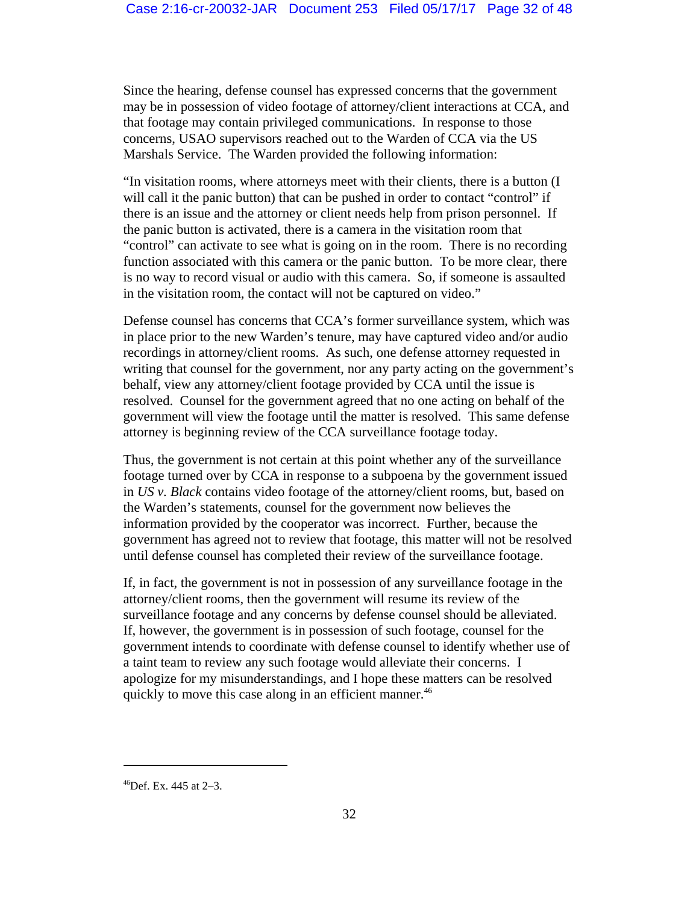Since the hearing, defense counsel has expressed concerns that the government may be in possession of video footage of attorney/client interactions at CCA, and that footage may contain privileged communications. In response to those concerns, USAO supervisors reached out to the Warden of CCA via the US Marshals Service. The Warden provided the following information:

"In visitation rooms, where attorneys meet with their clients, there is a button (I will call it the panic button) that can be pushed in order to contact "control" if there is an issue and the attorney or client needs help from prison personnel. If the panic button is activated, there is a camera in the visitation room that "control" can activate to see what is going on in the room. There is no recording function associated with this camera or the panic button. To be more clear, there is no way to record visual or audio with this camera. So, if someone is assaulted in the visitation room, the contact will not be captured on video."

Defense counsel has concerns that CCA's former surveillance system, which was in place prior to the new Warden's tenure, may have captured video and/or audio recordings in attorney/client rooms. As such, one defense attorney requested in writing that counsel for the government, nor any party acting on the government's behalf, view any attorney/client footage provided by CCA until the issue is resolved. Counsel for the government agreed that no one acting on behalf of the government will view the footage until the matter is resolved. This same defense attorney is beginning review of the CCA surveillance footage today.

Thus, the government is not certain at this point whether any of the surveillance footage turned over by CCA in response to a subpoena by the government issued in *US v. Black* contains video footage of the attorney/client rooms, but, based on the Warden's statements, counsel for the government now believes the information provided by the cooperator was incorrect. Further, because the government has agreed not to review that footage, this matter will not be resolved until defense counsel has completed their review of the surveillance footage.

If, in fact, the government is not in possession of any surveillance footage in the attorney/client rooms, then the government will resume its review of the surveillance footage and any concerns by defense counsel should be alleviated. If, however, the government is in possession of such footage, counsel for the government intends to coordinate with defense counsel to identify whether use of a taint team to review any such footage would alleviate their concerns. I apologize for my misunderstandings, and I hope these matters can be resolved quickly to move this case along in an efficient manner.<sup>46</sup>

 $^{46}$ Def. Ex. 445 at 2–3.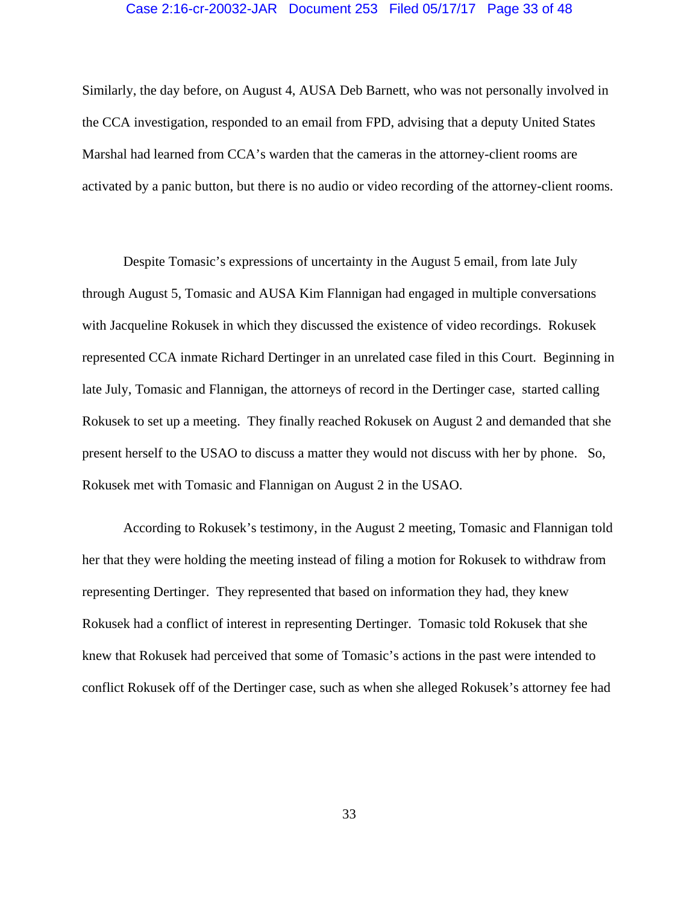## Case 2:16-cr-20032-JAR Document 253 Filed 05/17/17 Page 33 of 48

Similarly, the day before, on August 4, AUSA Deb Barnett, who was not personally involved in the CCA investigation, responded to an email from FPD, advising that a deputy United States Marshal had learned from CCA's warden that the cameras in the attorney-client rooms are activated by a panic button, but there is no audio or video recording of the attorney-client rooms.

Despite Tomasic's expressions of uncertainty in the August 5 email, from late July through August 5, Tomasic and AUSA Kim Flannigan had engaged in multiple conversations with Jacqueline Rokusek in which they discussed the existence of video recordings. Rokusek represented CCA inmate Richard Dertinger in an unrelated case filed in this Court. Beginning in late July, Tomasic and Flannigan, the attorneys of record in the Dertinger case, started calling Rokusek to set up a meeting. They finally reached Rokusek on August 2 and demanded that she present herself to the USAO to discuss a matter they would not discuss with her by phone. So, Rokusek met with Tomasic and Flannigan on August 2 in the USAO.

According to Rokusek's testimony, in the August 2 meeting, Tomasic and Flannigan told her that they were holding the meeting instead of filing a motion for Rokusek to withdraw from representing Dertinger. They represented that based on information they had, they knew Rokusek had a conflict of interest in representing Dertinger. Tomasic told Rokusek that she knew that Rokusek had perceived that some of Tomasic's actions in the past were intended to conflict Rokusek off of the Dertinger case, such as when she alleged Rokusek's attorney fee had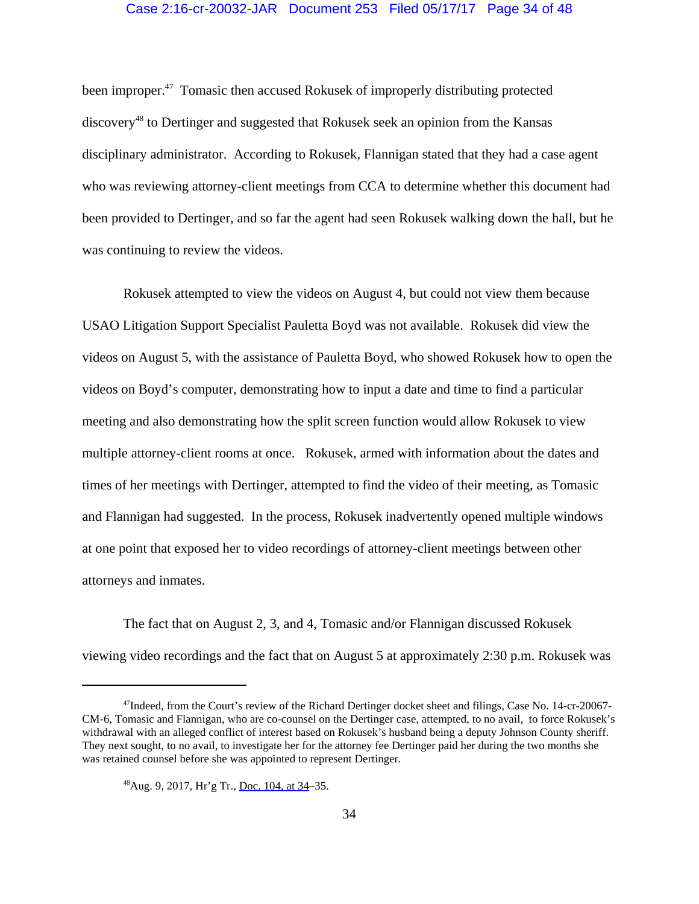# Case 2:16-cr-20032-JAR Document 253 Filed 05/17/17 Page 34 of 48

been improper.<sup>47</sup> Tomasic then accused Rokusek of improperly distributing protected discovery48 to Dertinger and suggested that Rokusek seek an opinion from the Kansas disciplinary administrator. According to Rokusek, Flannigan stated that they had a case agent who was reviewing attorney-client meetings from CCA to determine whether this document had been provided to Dertinger, and so far the agent had seen Rokusek walking down the hall, but he was continuing to review the videos.

Rokusek attempted to view the videos on August 4, but could not view them because USAO Litigation Support Specialist Pauletta Boyd was not available. Rokusek did view the videos on August 5, with the assistance of Pauletta Boyd, who showed Rokusek how to open the videos on Boyd's computer, demonstrating how to input a date and time to find a particular meeting and also demonstrating how the split screen function would allow Rokusek to view multiple attorney-client rooms at once. Rokusek, armed with information about the dates and times of her meetings with Dertinger, attempted to find the video of their meeting, as Tomasic and Flannigan had suggested. In the process, Rokusek inadvertently opened multiple windows at one point that exposed her to video recordings of attorney-client meetings between other attorneys and inmates.

The fact that on August 2, 3, and 4, Tomasic and/or Flannigan discussed Rokusek viewing video recordings and the fact that on August 5 at approximately 2:30 p.m. Rokusek was

<sup>47</sup>Indeed, from the Court's review of the Richard Dertinger docket sheet and filings, Case No. 14-cr-20067- CM-6, Tomasic and Flannigan, who are co-counsel on the Dertinger case, attempted, to no avail, to force Rokusek's withdrawal with an alleged conflict of interest based on Rokusek's husband being a deputy Johnson County sheriff. They next sought, to no avail, to investigate her for the attorney fee Dertinger paid her during the two months she was retained counsel before she was appointed to represent Dertinger.

<sup>48</sup>Aug. 9, 2017, Hr'g Tr., [Doc. 104, at 34–](https://jenie.ao.dcn/ksd-ecf/d/cmecfservices/rest/file/finddoc?caseYear=2016&caseNum=20032&caseType=cr&caseOffice=2&docNum=104#page=34)35.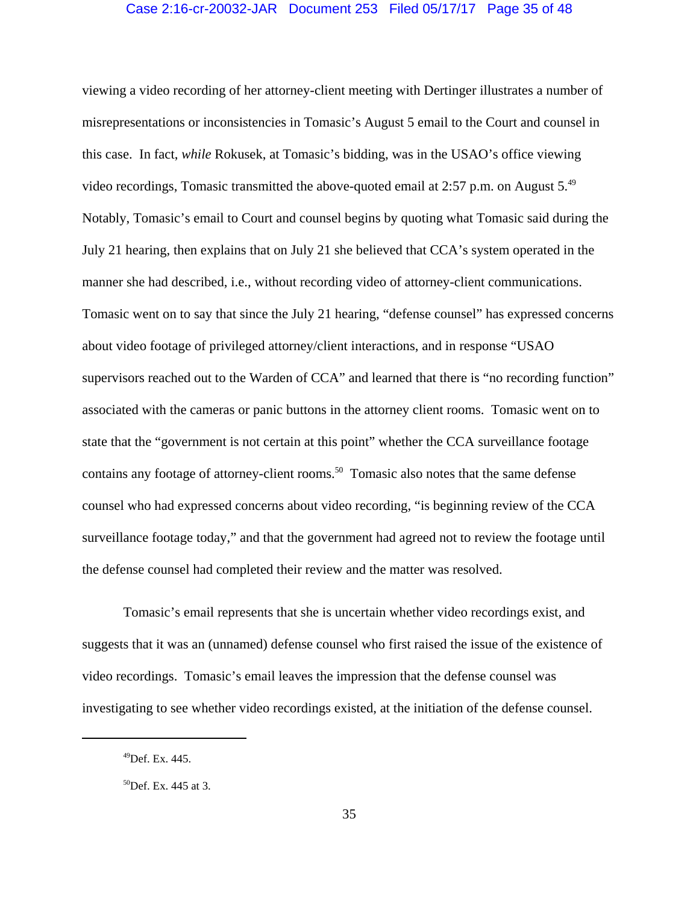# Case 2:16-cr-20032-JAR Document 253 Filed 05/17/17 Page 35 of 48

viewing a video recording of her attorney-client meeting with Dertinger illustrates a number of misrepresentations or inconsistencies in Tomasic's August 5 email to the Court and counsel in this case. In fact, *while* Rokusek, at Tomasic's bidding, was in the USAO's office viewing video recordings, Tomasic transmitted the above-quoted email at 2:57 p.m. on August  $5^{49}$ Notably, Tomasic's email to Court and counsel begins by quoting what Tomasic said during the July 21 hearing, then explains that on July 21 she believed that CCA's system operated in the manner she had described, i.e., without recording video of attorney-client communications. Tomasic went on to say that since the July 21 hearing, "defense counsel" has expressed concerns about video footage of privileged attorney/client interactions, and in response "USAO supervisors reached out to the Warden of CCA" and learned that there is "no recording function" associated with the cameras or panic buttons in the attorney client rooms. Tomasic went on to state that the "government is not certain at this point" whether the CCA surveillance footage contains any footage of attorney-client rooms.<sup>50</sup> Tomasic also notes that the same defense counsel who had expressed concerns about video recording, "is beginning review of the CCA surveillance footage today," and that the government had agreed not to review the footage until the defense counsel had completed their review and the matter was resolved.

Tomasic's email represents that she is uncertain whether video recordings exist, and suggests that it was an (unnamed) defense counsel who first raised the issue of the existence of video recordings. Tomasic's email leaves the impression that the defense counsel was investigating to see whether video recordings existed, at the initiation of the defense counsel.

 $^{49}$ Def. Ex. 445.

<sup>50</sup>Def. Ex. 445 at 3.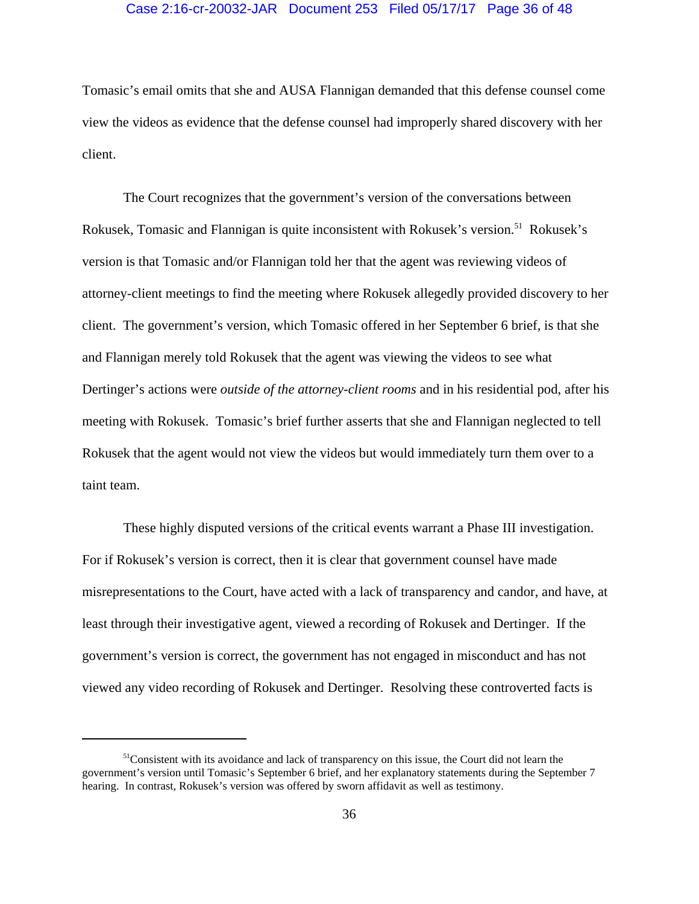# Case 2:16-cr-20032-JAR Document 253 Filed 05/17/17 Page 36 of 48

Tomasic's email omits that she and AUSA Flannigan demanded that this defense counsel come view the videos as evidence that the defense counsel had improperly shared discovery with her client.

The Court recognizes that the government's version of the conversations between Rokusek, Tomasic and Flannigan is quite inconsistent with Rokusek's version.<sup>51</sup> Rokusek's version is that Tomasic and/or Flannigan told her that the agent was reviewing videos of attorney-client meetings to find the meeting where Rokusek allegedly provided discovery to her client. The government's version, which Tomasic offered in her September 6 brief, is that she and Flannigan merely told Rokusek that the agent was viewing the videos to see what Dertinger's actions were *outside of the attorney-client rooms* and in his residential pod, after his meeting with Rokusek. Tomasic's brief further asserts that she and Flannigan neglected to tell Rokusek that the agent would not view the videos but would immediately turn them over to a taint team.

These highly disputed versions of the critical events warrant a Phase III investigation. For if Rokusek's version is correct, then it is clear that government counsel have made misrepresentations to the Court, have acted with a lack of transparency and candor, and have, at least through their investigative agent, viewed a recording of Rokusek and Dertinger. If the government's version is correct, the government has not engaged in misconduct and has not viewed any video recording of Rokusek and Dertinger. Resolving these controverted facts is

 $<sup>51</sup>$ Consistent with its avoidance and lack of transparency on this issue, the Court did not learn the</sup> government's version until Tomasic's September 6 brief, and her explanatory statements during the September 7 hearing. In contrast, Rokusek's version was offered by sworn affidavit as well as testimony.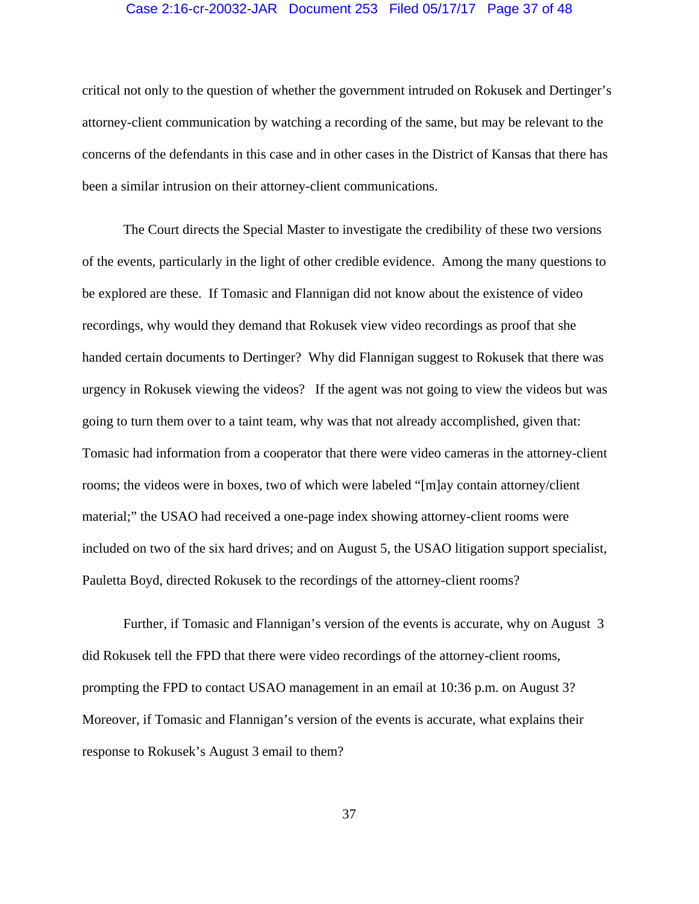## Case 2:16-cr-20032-JAR Document 253 Filed 05/17/17 Page 37 of 48

critical not only to the question of whether the government intruded on Rokusek and Dertinger's attorney-client communication by watching a recording of the same, but may be relevant to the concerns of the defendants in this case and in other cases in the District of Kansas that there has been a similar intrusion on their attorney-client communications.

The Court directs the Special Master to investigate the credibility of these two versions of the events, particularly in the light of other credible evidence. Among the many questions to be explored are these. If Tomasic and Flannigan did not know about the existence of video recordings, why would they demand that Rokusek view video recordings as proof that she handed certain documents to Dertinger? Why did Flannigan suggest to Rokusek that there was urgency in Rokusek viewing the videos? If the agent was not going to view the videos but was going to turn them over to a taint team, why was that not already accomplished, given that: Tomasic had information from a cooperator that there were video cameras in the attorney-client rooms; the videos were in boxes, two of which were labeled "[m]ay contain attorney/client material;" the USAO had received a one-page index showing attorney-client rooms were included on two of the six hard drives; and on August 5, the USAO litigation support specialist, Pauletta Boyd, directed Rokusek to the recordings of the attorney-client rooms?

Further, if Tomasic and Flannigan's version of the events is accurate, why on August 3 did Rokusek tell the FPD that there were video recordings of the attorney-client rooms, prompting the FPD to contact USAO management in an email at 10:36 p.m. on August 3? Moreover, if Tomasic and Flannigan's version of the events is accurate, what explains their response to Rokusek's August 3 email to them?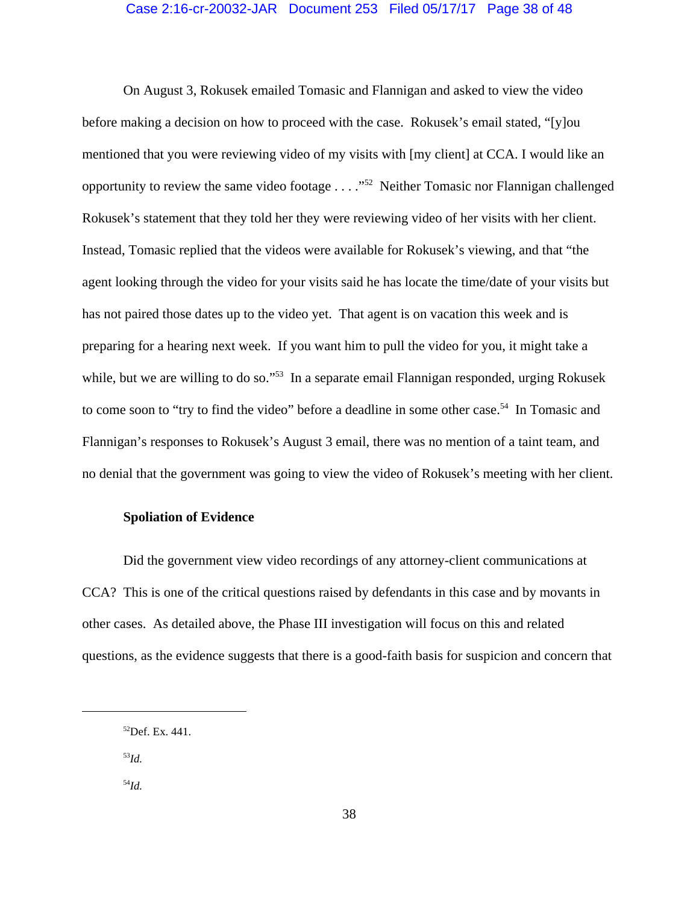## Case 2:16-cr-20032-JAR Document 253 Filed 05/17/17 Page 38 of 48

On August 3, Rokusek emailed Tomasic and Flannigan and asked to view the video before making a decision on how to proceed with the case. Rokusek's email stated, "[y]ou mentioned that you were reviewing video of my visits with [my client] at CCA. I would like an opportunity to review the same video footage . . . ."52 Neither Tomasic nor Flannigan challenged Rokusek's statement that they told her they were reviewing video of her visits with her client. Instead, Tomasic replied that the videos were available for Rokusek's viewing, and that "the agent looking through the video for your visits said he has locate the time/date of your visits but has not paired those dates up to the video yet. That agent is on vacation this week and is preparing for a hearing next week. If you want him to pull the video for you, it might take a while, but we are willing to do so."<sup>53</sup> In a separate email Flannigan responded, urging Rokusek to come soon to "try to find the video" before a deadline in some other case.<sup>54</sup> In Tomasic and Flannigan's responses to Rokusek's August 3 email, there was no mention of a taint team, and no denial that the government was going to view the video of Rokusek's meeting with her client.

# **Spoliation of Evidence**

Did the government view video recordings of any attorney-client communications at CCA? This is one of the critical questions raised by defendants in this case and by movants in other cases. As detailed above, the Phase III investigation will focus on this and related questions, as the evidence suggests that there is a good-faith basis for suspicion and concern that

<sup>53</sup>*Id.*

<sup>54</sup>*Id.*

 $52$  Def. Ex. 441.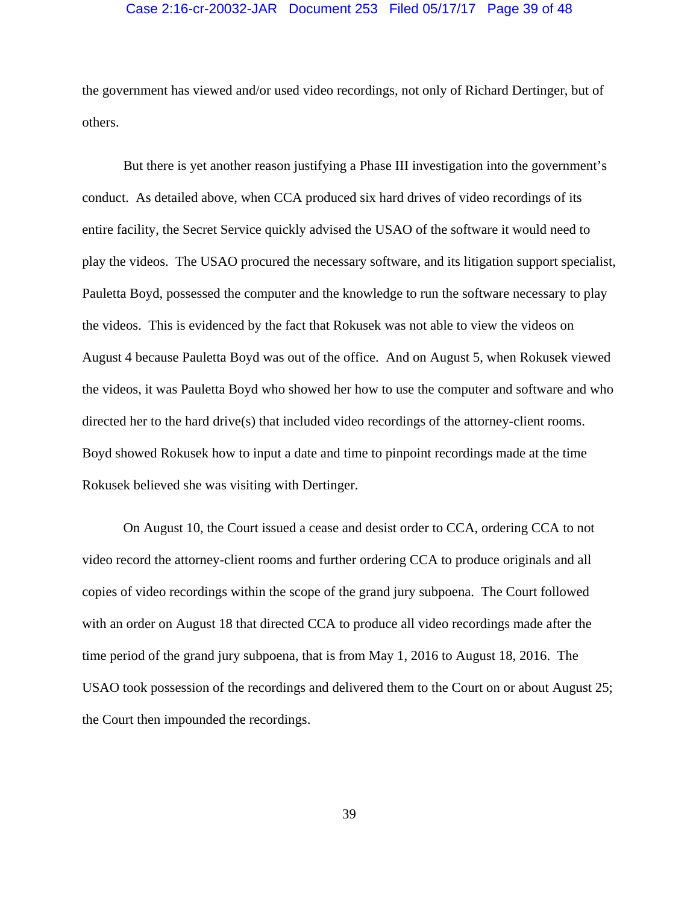## Case 2:16-cr-20032-JAR Document 253 Filed 05/17/17 Page 39 of 48

the government has viewed and/or used video recordings, not only of Richard Dertinger, but of others.

But there is yet another reason justifying a Phase III investigation into the government's conduct. As detailed above, when CCA produced six hard drives of video recordings of its entire facility, the Secret Service quickly advised the USAO of the software it would need to play the videos. The USAO procured the necessary software, and its litigation support specialist, Pauletta Boyd, possessed the computer and the knowledge to run the software necessary to play the videos. This is evidenced by the fact that Rokusek was not able to view the videos on August 4 because Pauletta Boyd was out of the office. And on August 5, when Rokusek viewed the videos, it was Pauletta Boyd who showed her how to use the computer and software and who directed her to the hard drive(s) that included video recordings of the attorney-client rooms. Boyd showed Rokusek how to input a date and time to pinpoint recordings made at the time Rokusek believed she was visiting with Dertinger.

On August 10, the Court issued a cease and desist order to CCA, ordering CCA to not video record the attorney-client rooms and further ordering CCA to produce originals and all copies of video recordings within the scope of the grand jury subpoena. The Court followed with an order on August 18 that directed CCA to produce all video recordings made after the time period of the grand jury subpoena, that is from May 1, 2016 to August 18, 2016. The USAO took possession of the recordings and delivered them to the Court on or about August 25; the Court then impounded the recordings.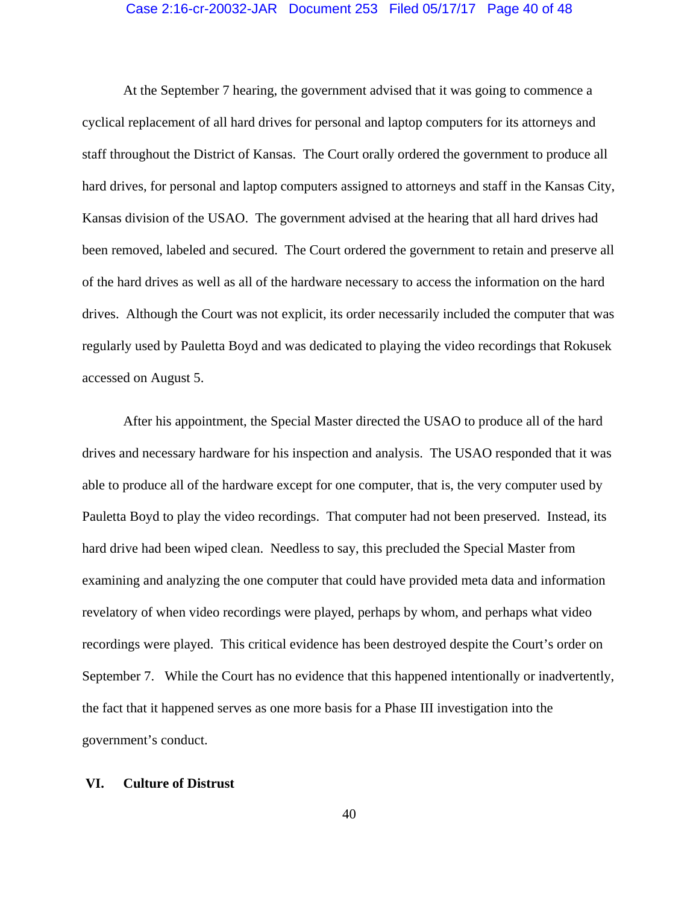## Case 2:16-cr-20032-JAR Document 253 Filed 05/17/17 Page 40 of 48

At the September 7 hearing, the government advised that it was going to commence a cyclical replacement of all hard drives for personal and laptop computers for its attorneys and staff throughout the District of Kansas. The Court orally ordered the government to produce all hard drives, for personal and laptop computers assigned to attorneys and staff in the Kansas City, Kansas division of the USAO. The government advised at the hearing that all hard drives had been removed, labeled and secured. The Court ordered the government to retain and preserve all of the hard drives as well as all of the hardware necessary to access the information on the hard drives. Although the Court was not explicit, its order necessarily included the computer that was regularly used by Pauletta Boyd and was dedicated to playing the video recordings that Rokusek accessed on August 5.

After his appointment, the Special Master directed the USAO to produce all of the hard drives and necessary hardware for his inspection and analysis. The USAO responded that it was able to produce all of the hardware except for one computer, that is, the very computer used by Pauletta Boyd to play the video recordings. That computer had not been preserved. Instead, its hard drive had been wiped clean. Needless to say, this precluded the Special Master from examining and analyzing the one computer that could have provided meta data and information revelatory of when video recordings were played, perhaps by whom, and perhaps what video recordings were played. This critical evidence has been destroyed despite the Court's order on September 7. While the Court has no evidence that this happened intentionally or inadvertently, the fact that it happened serves as one more basis for a Phase III investigation into the government's conduct.

# **VI. Culture of Distrust**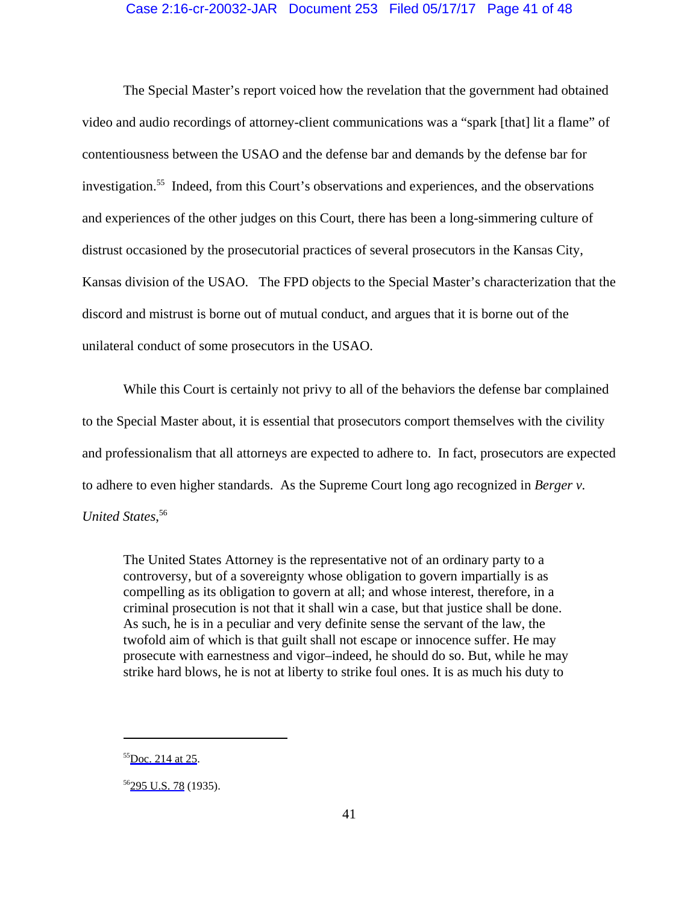# Case 2:16-cr-20032-JAR Document 253 Filed 05/17/17 Page 41 of 48

The Special Master's report voiced how the revelation that the government had obtained video and audio recordings of attorney-client communications was a "spark [that] lit a flame" of contentiousness between the USAO and the defense bar and demands by the defense bar for investigation.55 Indeed, from this Court's observations and experiences, and the observations and experiences of the other judges on this Court, there has been a long-simmering culture of distrust occasioned by the prosecutorial practices of several prosecutors in the Kansas City, Kansas division of the USAO. The FPD objects to the Special Master's characterization that the discord and mistrust is borne out of mutual conduct, and argues that it is borne out of the unilateral conduct of some prosecutors in the USAO.

While this Court is certainly not privy to all of the behaviors the defense bar complained to the Special Master about, it is essential that prosecutors comport themselves with the civility and professionalism that all attorneys are expected to adhere to. In fact, prosecutors are expected to adhere to even higher standards. As the Supreme Court long ago recognized in *Berger v. United States*, 56

The United States Attorney is the representative not of an ordinary party to a controversy, but of a sovereignty whose obligation to govern impartially is as compelling as its obligation to govern at all; and whose interest, therefore, in a criminal prosecution is not that it shall win a case, but that justice shall be done. As such, he is in a peculiar and very definite sense the servant of the law, the twofold aim of which is that guilt shall not escape or innocence suffer. He may prosecute with earnestness and vigor–indeed, he should do so. But, while he may strike hard blows, he is not at liberty to strike foul ones. It is as much his duty to

 $55$ [Doc. 214 at 25.](https://jenie.ao.dcn/ksd-ecf/d/cmecfservices/rest/file/finddoc?caseYear=2016&caseNum=20032&caseType=cr&caseOffice=2&docNum=214#page=25)

<sup>&</sup>lt;sup>56</sup>[295 U.S. 78](https://www.westlaw.com/Link/Document/FullText?rs=USCLink&vr=3.0&findType=Y&cite=295+u.s.+78&refPos=78&refPosType=s&clientid=USCourts) (1935).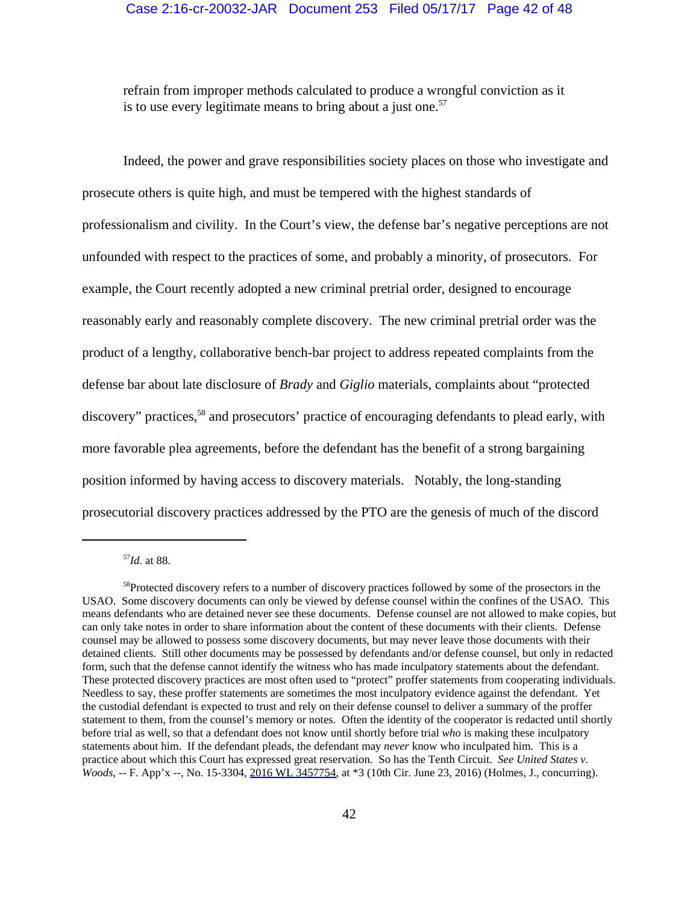refrain from improper methods calculated to produce a wrongful conviction as it is to use every legitimate means to bring about a just one.<sup>57</sup>

Indeed, the power and grave responsibilities society places on those who investigate and prosecute others is quite high, and must be tempered with the highest standards of professionalism and civility. In the Court's view, the defense bar's negative perceptions are not unfounded with respect to the practices of some, and probably a minority, of prosecutors. For example, the Court recently adopted a new criminal pretrial order, designed to encourage reasonably early and reasonably complete discovery. The new criminal pretrial order was the product of a lengthy, collaborative bench-bar project to address repeated complaints from the defense bar about late disclosure of *Brady* and *Giglio* materials, complaints about "protected discovery" practices,<sup>58</sup> and prosecutors' practice of encouraging defendants to plead early, with more favorable plea agreements, before the defendant has the benefit of a strong bargaining position informed by having access to discovery materials. Notably, the long-standing prosecutorial discovery practices addressed by the PTO are the genesis of much of the discord

<sup>57</sup>*Id.* at 88.

<sup>58</sup>Protected discovery refers to a number of discovery practices followed by some of the prosectors in the USAO. Some discovery documents can only be viewed by defense counsel within the confines of the USAO. This means defendants who are detained never see these documents. Defense counsel are not allowed to make copies, but can only take notes in order to share information about the content of these documents with their clients. Defense counsel may be allowed to possess some discovery documents, but may never leave those documents with their detained clients. Still other documents may be possessed by defendants and/or defense counsel, but only in redacted form, such that the defense cannot identify the witness who has made inculpatory statements about the defendant. These protected discovery practices are most often used to "protect" proffer statements from cooperating individuals. Needless to say, these proffer statements are sometimes the most inculpatory evidence against the defendant. Yet the custodial defendant is expected to trust and rely on their defense counsel to deliver a summary of the proffer statement to them, from the counsel's memory or notes. Often the identity of the cooperator is redacted until shortly before trial as well, so that a defendant does not know until shortly before trial *who* is making these inculpatory statements about him. If the defendant pleads, the defendant may *never* know who inculpated him. This is a practice about which this Court has expressed great reservation. So has the Tenth Circuit. *See United States v. Woods*, -- F. App'x --, No. 15-3304, [2016 WL 3457754](https://www.westlaw.com/Link/Document/FullText?rs=USCLink&vr=3.0&findType=Y&cite=2016++wl++3457754&refPos=3457754&refPosType=s&clientid=USCourts), at \*3 (10th Cir. June 23, 2016) (Holmes, J., concurring).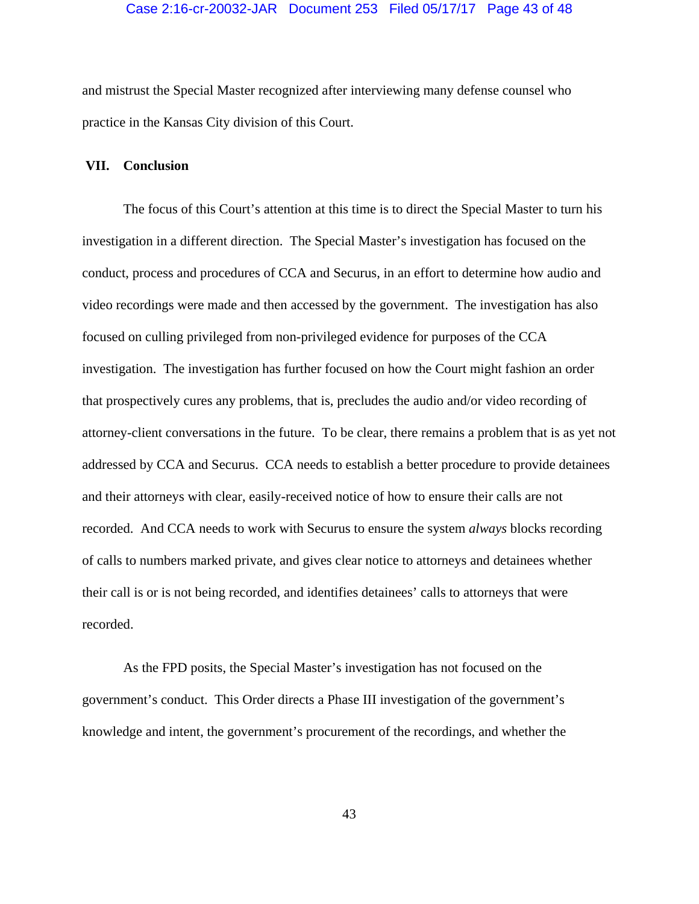# Case 2:16-cr-20032-JAR Document 253 Filed 05/17/17 Page 43 of 48

and mistrust the Special Master recognized after interviewing many defense counsel who practice in the Kansas City division of this Court.

# **VII. Conclusion**

The focus of this Court's attention at this time is to direct the Special Master to turn his investigation in a different direction. The Special Master's investigation has focused on the conduct, process and procedures of CCA and Securus, in an effort to determine how audio and video recordings were made and then accessed by the government. The investigation has also focused on culling privileged from non-privileged evidence for purposes of the CCA investigation. The investigation has further focused on how the Court might fashion an order that prospectively cures any problems, that is, precludes the audio and/or video recording of attorney-client conversations in the future. To be clear, there remains a problem that is as yet not addressed by CCA and Securus. CCA needs to establish a better procedure to provide detainees and their attorneys with clear, easily-received notice of how to ensure their calls are not recorded. And CCA needs to work with Securus to ensure the system *always* blocks recording of calls to numbers marked private, and gives clear notice to attorneys and detainees whether their call is or is not being recorded, and identifies detainees' calls to attorneys that were recorded.

As the FPD posits, the Special Master's investigation has not focused on the government's conduct. This Order directs a Phase III investigation of the government's knowledge and intent, the government's procurement of the recordings, and whether the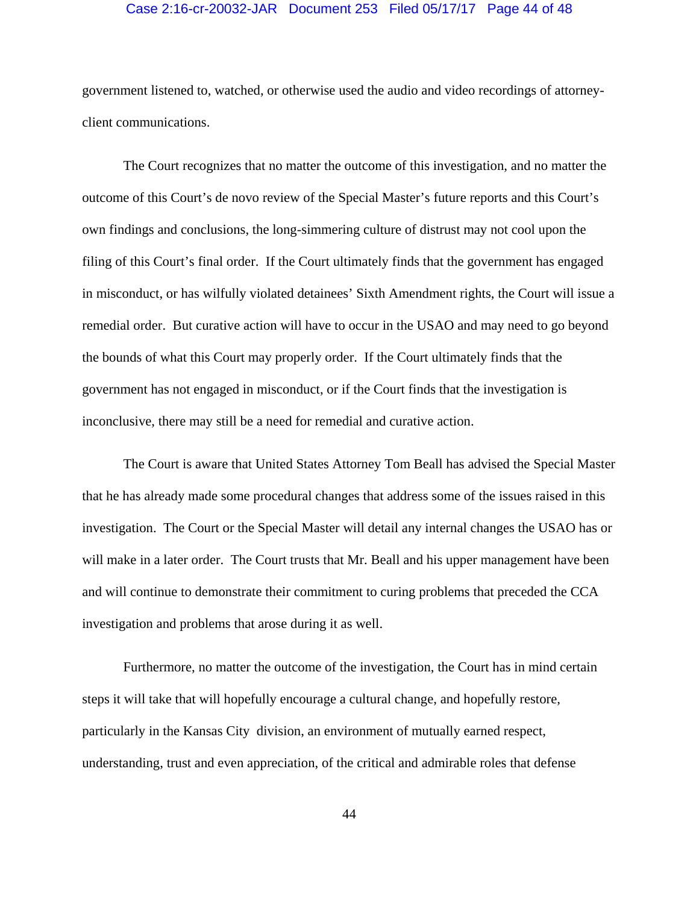# Case 2:16-cr-20032-JAR Document 253 Filed 05/17/17 Page 44 of 48

government listened to, watched, or otherwise used the audio and video recordings of attorneyclient communications.

The Court recognizes that no matter the outcome of this investigation, and no matter the outcome of this Court's de novo review of the Special Master's future reports and this Court's own findings and conclusions, the long-simmering culture of distrust may not cool upon the filing of this Court's final order. If the Court ultimately finds that the government has engaged in misconduct, or has wilfully violated detainees' Sixth Amendment rights, the Court will issue a remedial order. But curative action will have to occur in the USAO and may need to go beyond the bounds of what this Court may properly order. If the Court ultimately finds that the government has not engaged in misconduct, or if the Court finds that the investigation is inconclusive, there may still be a need for remedial and curative action.

The Court is aware that United States Attorney Tom Beall has advised the Special Master that he has already made some procedural changes that address some of the issues raised in this investigation. The Court or the Special Master will detail any internal changes the USAO has or will make in a later order. The Court trusts that Mr. Beall and his upper management have been and will continue to demonstrate their commitment to curing problems that preceded the CCA investigation and problems that arose during it as well.

Furthermore, no matter the outcome of the investigation, the Court has in mind certain steps it will take that will hopefully encourage a cultural change, and hopefully restore, particularly in the Kansas City division, an environment of mutually earned respect, understanding, trust and even appreciation, of the critical and admirable roles that defense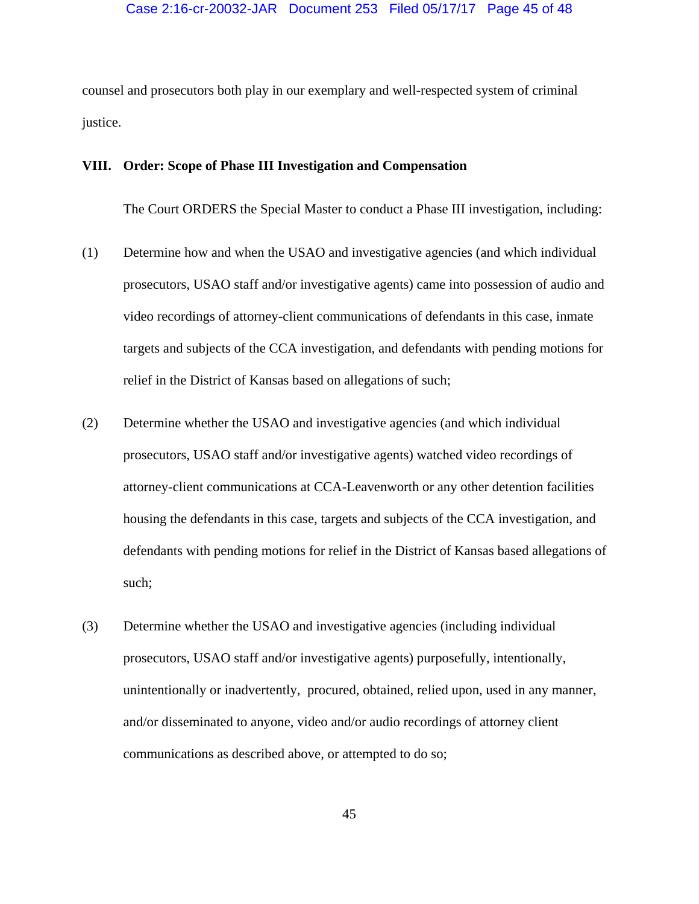counsel and prosecutors both play in our exemplary and well-respected system of criminal justice.

# **VIII. Order: Scope of Phase III Investigation and Compensation**

The Court ORDERS the Special Master to conduct a Phase III investigation, including:

- (1) Determine how and when the USAO and investigative agencies (and which individual prosecutors, USAO staff and/or investigative agents) came into possession of audio and video recordings of attorney-client communications of defendants in this case, inmate targets and subjects of the CCA investigation, and defendants with pending motions for relief in the District of Kansas based on allegations of such;
- (2) Determine whether the USAO and investigative agencies (and which individual prosecutors, USAO staff and/or investigative agents) watched video recordings of attorney-client communications at CCA-Leavenworth or any other detention facilities housing the defendants in this case, targets and subjects of the CCA investigation, and defendants with pending motions for relief in the District of Kansas based allegations of such;
- (3) Determine whether the USAO and investigative agencies (including individual prosecutors, USAO staff and/or investigative agents) purposefully, intentionally, unintentionally or inadvertently, procured, obtained, relied upon, used in any manner, and/or disseminated to anyone, video and/or audio recordings of attorney client communications as described above, or attempted to do so;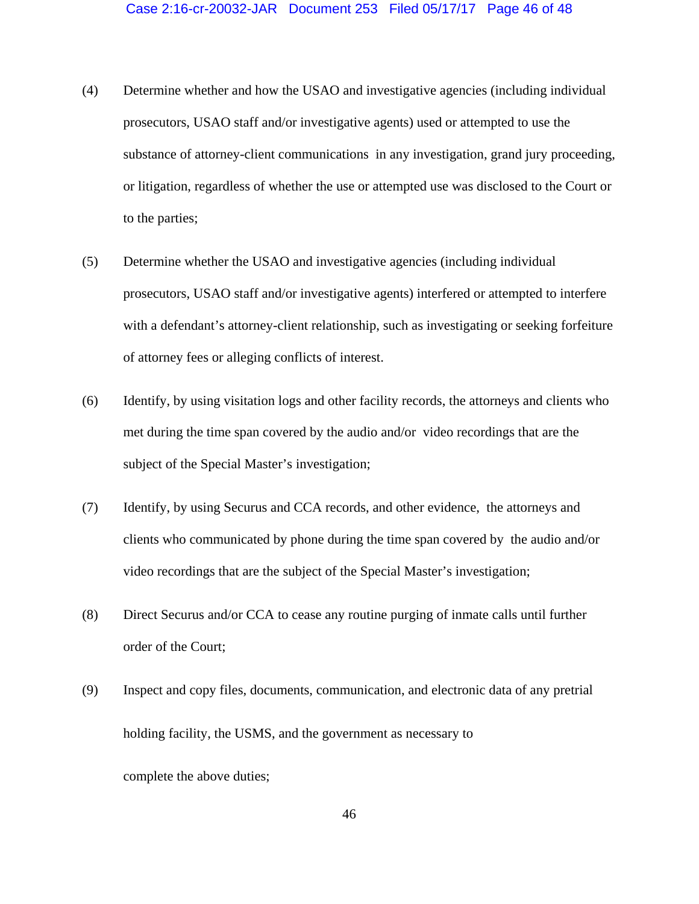- (4) Determine whether and how the USAO and investigative agencies (including individual prosecutors, USAO staff and/or investigative agents) used or attempted to use the substance of attorney-client communications in any investigation, grand jury proceeding, or litigation, regardless of whether the use or attempted use was disclosed to the Court or to the parties;
- (5) Determine whether the USAO and investigative agencies (including individual prosecutors, USAO staff and/or investigative agents) interfered or attempted to interfere with a defendant's attorney-client relationship, such as investigating or seeking forfeiture of attorney fees or alleging conflicts of interest.
- (6) Identify, by using visitation logs and other facility records, the attorneys and clients who met during the time span covered by the audio and/or video recordings that are the subject of the Special Master's investigation;
- (7) Identify, by using Securus and CCA records, and other evidence, the attorneys and clients who communicated by phone during the time span covered by the audio and/or video recordings that are the subject of the Special Master's investigation;
- (8) Direct Securus and/or CCA to cease any routine purging of inmate calls until further order of the Court;
- (9) Inspect and copy files, documents, communication, and electronic data of any pretrial holding facility, the USMS, and the government as necessary to complete the above duties;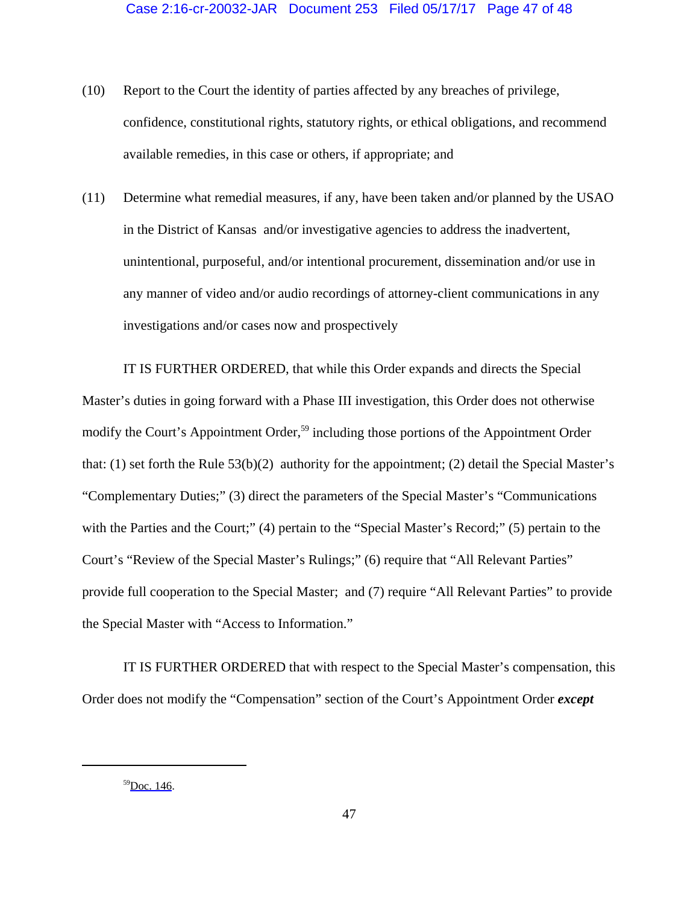- (10) Report to the Court the identity of parties affected by any breaches of privilege, confidence, constitutional rights, statutory rights, or ethical obligations, and recommend available remedies, in this case or others, if appropriate; and
- (11) Determine what remedial measures, if any, have been taken and/or planned by the USAO in the District of Kansas and/or investigative agencies to address the inadvertent, unintentional, purposeful, and/or intentional procurement, dissemination and/or use in any manner of video and/or audio recordings of attorney-client communications in any investigations and/or cases now and prospectively

IT IS FURTHER ORDERED, that while this Order expands and directs the Special Master's duties in going forward with a Phase III investigation, this Order does not otherwise modify the Court's Appointment Order,<sup>59</sup> including those portions of the Appointment Order that: (1) set forth the Rule 53(b)(2) authority for the appointment; (2) detail the Special Master's "Complementary Duties;" (3) direct the parameters of the Special Master's "Communications with the Parties and the Court;" (4) pertain to the "Special Master's Record;" (5) pertain to the Court's "Review of the Special Master's Rulings;" (6) require that "All Relevant Parties" provide full cooperation to the Special Master; and (7) require "All Relevant Parties" to provide the Special Master with "Access to Information."

IT IS FURTHER ORDERED that with respect to the Special Master's compensation, this Order does not modify the "Compensation" section of the Court's Appointment Order *except*

<sup>59</sup>[Doc. 146.](https://jenie.ao.dcn/ksd-ecf/d/cmecfservices/rest/file/finddoc?caseYear=2016&caseNum=20032&caseType=cr&caseOffice=2&docNum=146)